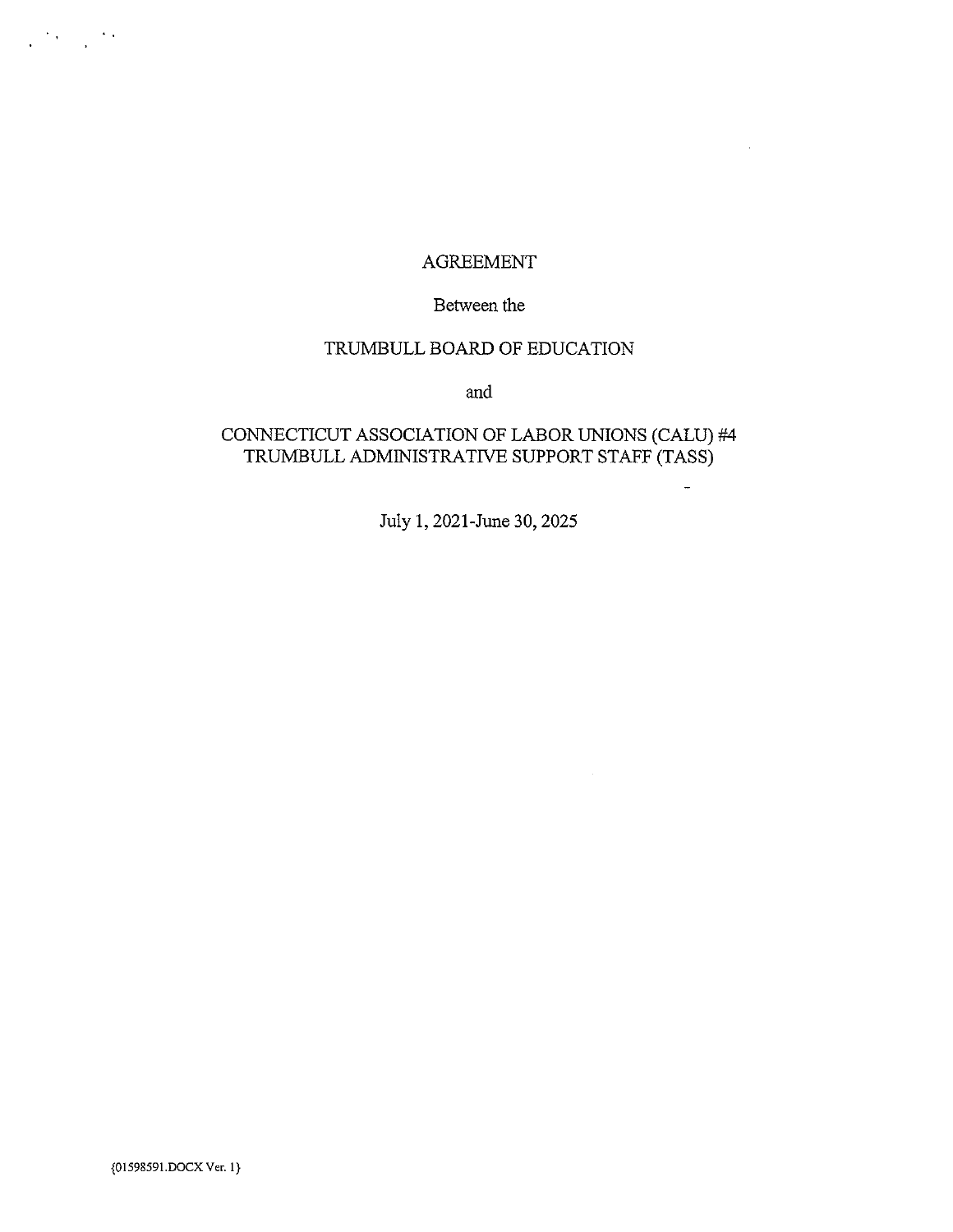### AGREEMENT

 $\bar{z}$ 

#### Between the

## TRUMBULL BOARD OF EDUCATION

and

### CONNECTICUT ASSOCIATION OF LABOR UNIONS (CALU) #4 TRUMBULL ADMINISTRATIVE SUPPORT STAFF (TASS)

July 1,2021-June 30, 2025

 $\sim$ 

 $\mathcal{L}^{\text{max}}_{\text{max}}$  and  $\mathcal{L}^{\text{max}}_{\text{max}}$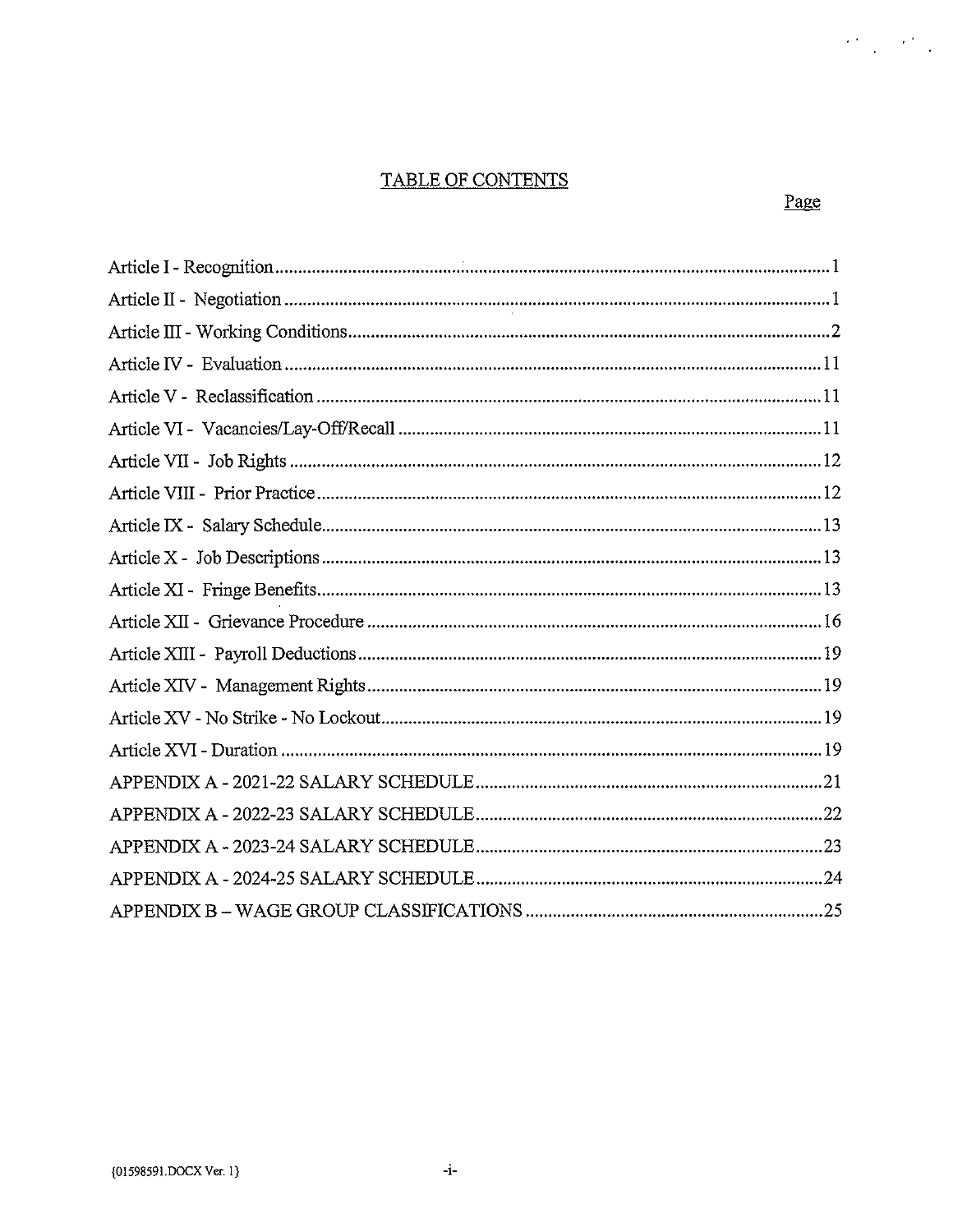# TABLE OF CONTENTS

 $\label{eq:2} \frac{\partial^2 f}{\partial x^2} = \frac{\partial^2 f}{\partial x^2} \frac{\partial f}{\partial x^2}$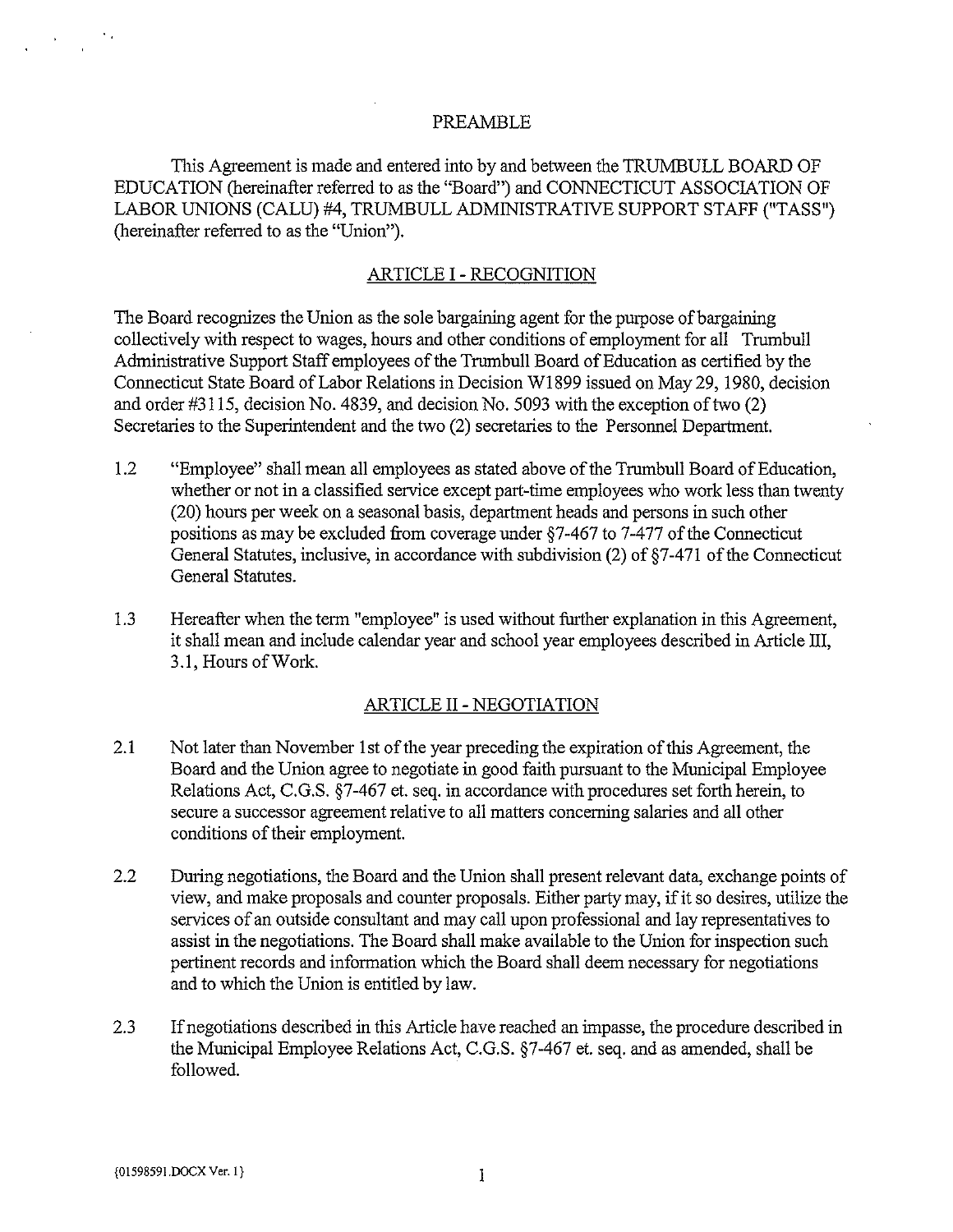#### PREAMBLE

This Agreement is made and entered into by and between the TRUMBULL BOARD OF EDUCATION (hereinafter referred to as the "Board") and CONNECTICUT ASSOCIATION OF LABOR UNIONS (CALU) #4, TRUMBULL ADMINISTRATIVE SUPPORT STAFF ("TASS") (hereinafter referred to as the "Union").

#### ARTICLE I - RECOGNITION

The Board recognizes the Union as the sole bargaining agent for the purpose of bargaining collectively with respect to wages, hours and other conditions of employment for all Trumbull Administrative Support Staff employees of the Trumbull Board of Education as certified by the Connecticut State Board of Labor Relations in Decision WI 899 issued on May 29, 1980, decision and order #3115, decision No. 4839, and decision No. 5093 with the exception of two (2) Secretaries to the Superintendent and the two (2) secretaries to the Personnel Department.

- 1.2 "Employee" shall mean all employees as stated above of the Trumbull Board of Education, whether or not in a classified service except part-time employees who work less than twenty (20) hours per week on a seasonal basis, department heads and persons in such other positions as may be excluded from coverage under  $\S7-467$  to 7-477 of the Connecticut General Statutes, inclusive, in accordance with subdivision (2) of §7-471 of the Connecticut General Statutes.
- 1.3 Hereafter when the term "employee" is used without further explanation in this Agreement, it shall mean and include calendar year and school year employees described in Article III, 3.1, Hours of Work.

#### ARTICLE II- NEGOTIATION

- 2.1 Not later than November 1st of the year preceding the expiration of this Agreement, the Board and the Union agree to negotiate in good faith pursuant to the Municipal Employee Relations Act, C.G.S. §7-467 et. seq. in accordance with procedures set forth herein, to secure a successor agreement relative to all matters concerning salaries and all other conditions of their employment.
- 2.2 During negotiations, the Board and the Union shall present relevant data, exchange points of view, and make proposals and counter proposals. Either party may, if it so desires, utilize the services of an outside consultant and may call upon professional and lay representatives to assist in the negotiations. The Board shall make available to the Union for inspection such pertinent records and information which the Board shall deem necessary for negotiations and to which the Union is entitled by law.
- 2.3 If negotiations described in this Article have reached an impasse, the procedure described in the Municipal Employee Relations Act, C.G.S. §7-467 et. seq. and as amended, shall be followed.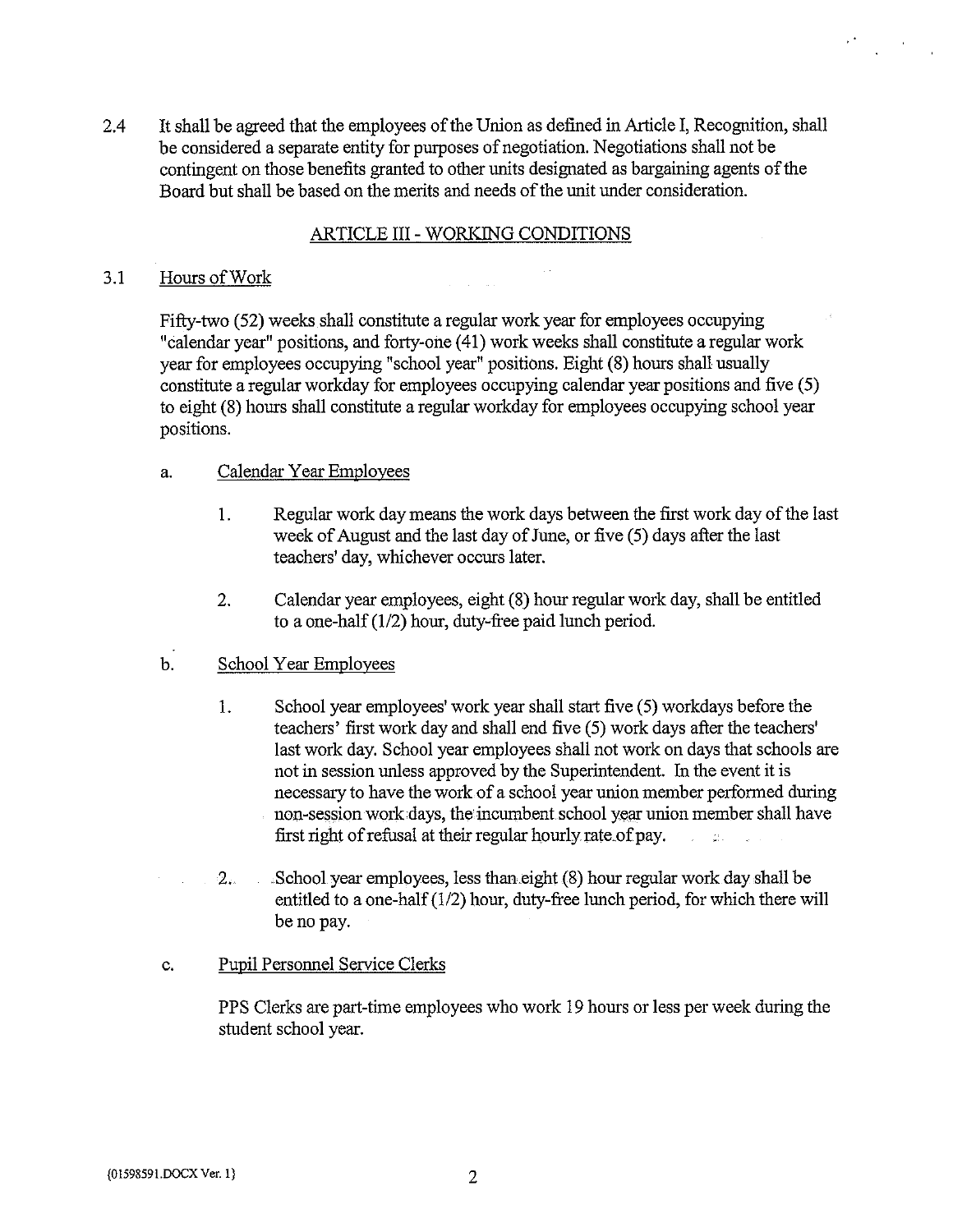2.4 It shall be agreed that the employees of the Union as defined in Article I, Recognition, shall be considered a separate entity for purposes of negotiation. Negotiations shall not be contingent on those benefits granted to other units designated as bargaining agents of the Board but shall be based on the merits and needs of the unit under consideration.

#### ARTICLE III - WORKING CONDITIONS

#### 3.1 Hours ofWork

Fifty-two (52) weeks shall constitute a regular work year for employees occupying "calendar year" positions, and forty-one (41) work weeks shall constitute a regular work year for employees occupying "school year" positions. Eight (8) hours shall usually constitute a regular workday for employees occupying calendar year positions and five (5) to eight (8) hours shall constitute a regular workday for employees occupying school year positions.

#### a. Calendar Year Employees

- 1. Regular work day means the work days between the first work day of the last week of August and the last day of June, or five (5) days after the last teachers' day, whichever occurs later.
- 2. Calendar year employees, eight (8) hour regular work day, shall be entitled to a one-half (1/2) hour, duty-free paid lunch period.

### b. School Year Employees

- 1. School year employees' work year shall start five (5) workdays before the teachers' first work day and shall end five (5) work days after the teachers' last work day. School year employees shall not work on days that schools are not in session unless approved by the Superintendent. In the event it is necessary to have the work of <sup>a</sup> school year union member performed during non-session work days, the incumbent school year union member shall have first right of refusal at their regular hourly rate of pay. **Comment**
- 2.. School year employees, less than~eight (8) hour regular work day shall be entitled to a one-half(1/2) hour, duty-free lunch period, for which there will be no pay.

#### c. Pupil Personnel Service Clerks

PPS Clerks are part-time employees who work 19 hours or less per week during the student school year.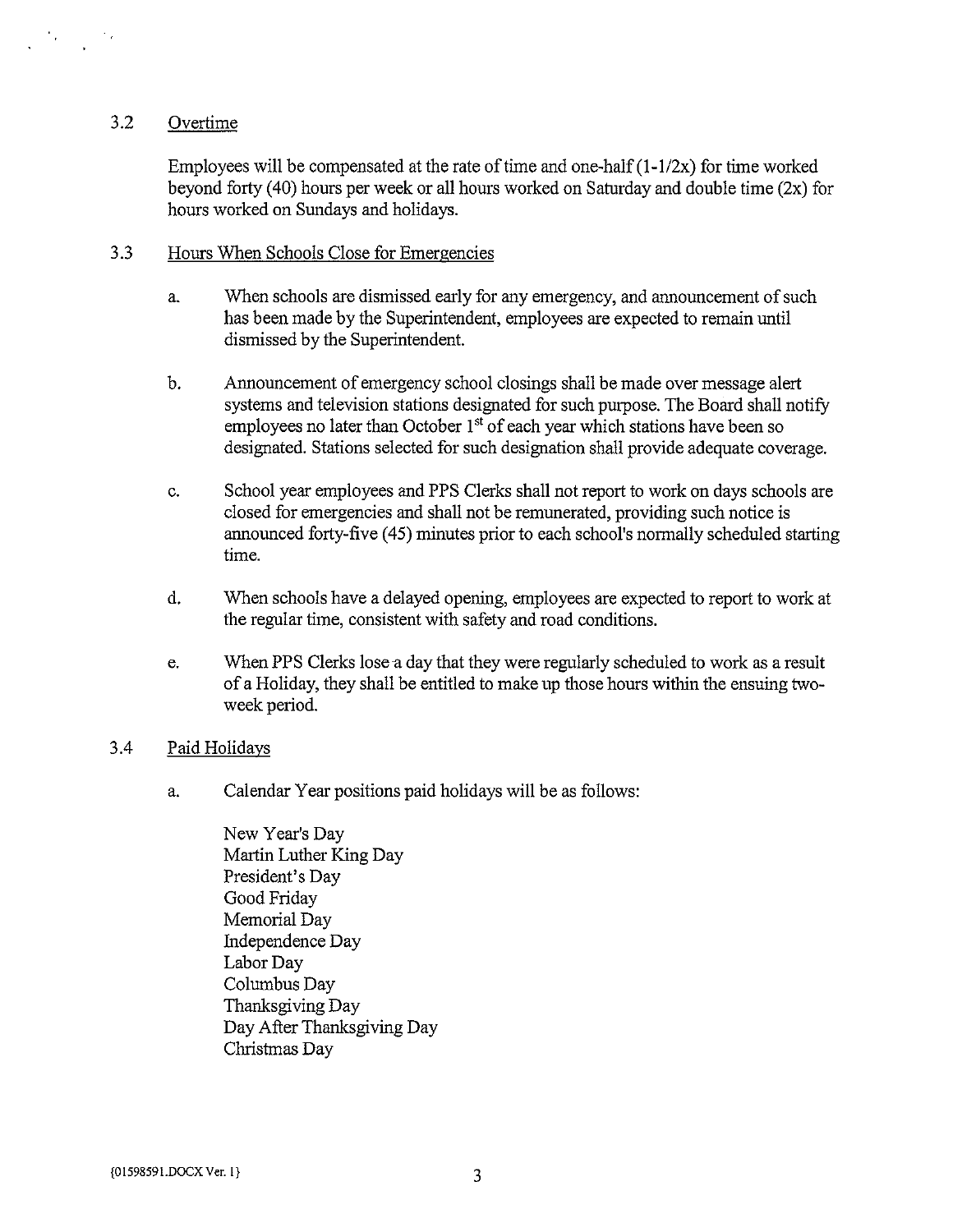### 3.2 Overtime

Employees will be compensated at the rate of time and one-half  $(1-1/2x)$  for time worked beyond forty (40) hours per week or all hours worked on Saturday and double time (2x) for hours worked on Sundays and holidays.

#### 3.3 Hours When Schools Close for Emergencies

- a. When schools are dismissed early for any emergency, and announcement of such has been made by the Superintendent, employees are expected to remain until dismissed by the Superintendent.
- b. Announcement of emergency school closings shall be made over message alert systems and television stations designated for such purpose. The Board shall notify employees no later than October  $1<sup>st</sup>$  of each year which stations have been so designated. Stations selected for such designation shall provide adequate coverage.
- c. School year employees and PPS Clerks shall not report to work on days schools are closed for emergencies and shall not be remunerated, providing such notice is announced forty-five (45) minutes prior to each school's normally scheduled starting time.
- d. When schools have a delayed opening, employees are expected to report to work at the regular time, consistent with safety and road conditions.
- e. When PPS Clerks lose a day that they were regularly scheduled to work as a result of <sup>a</sup> Holiday, they shall be entitled to make up those hours within the ensuing twoweek period.

#### 3.4 Paid Holidays

- a. Calendar Year positions paid holidays will be as follows:
	- New Year's Day Martin Luther King Day President's Day Good Friday Memorial Day Independence Day Labor Day Columbus Day Thanksgiving Day Day After Thanksgiving Day Christmas Day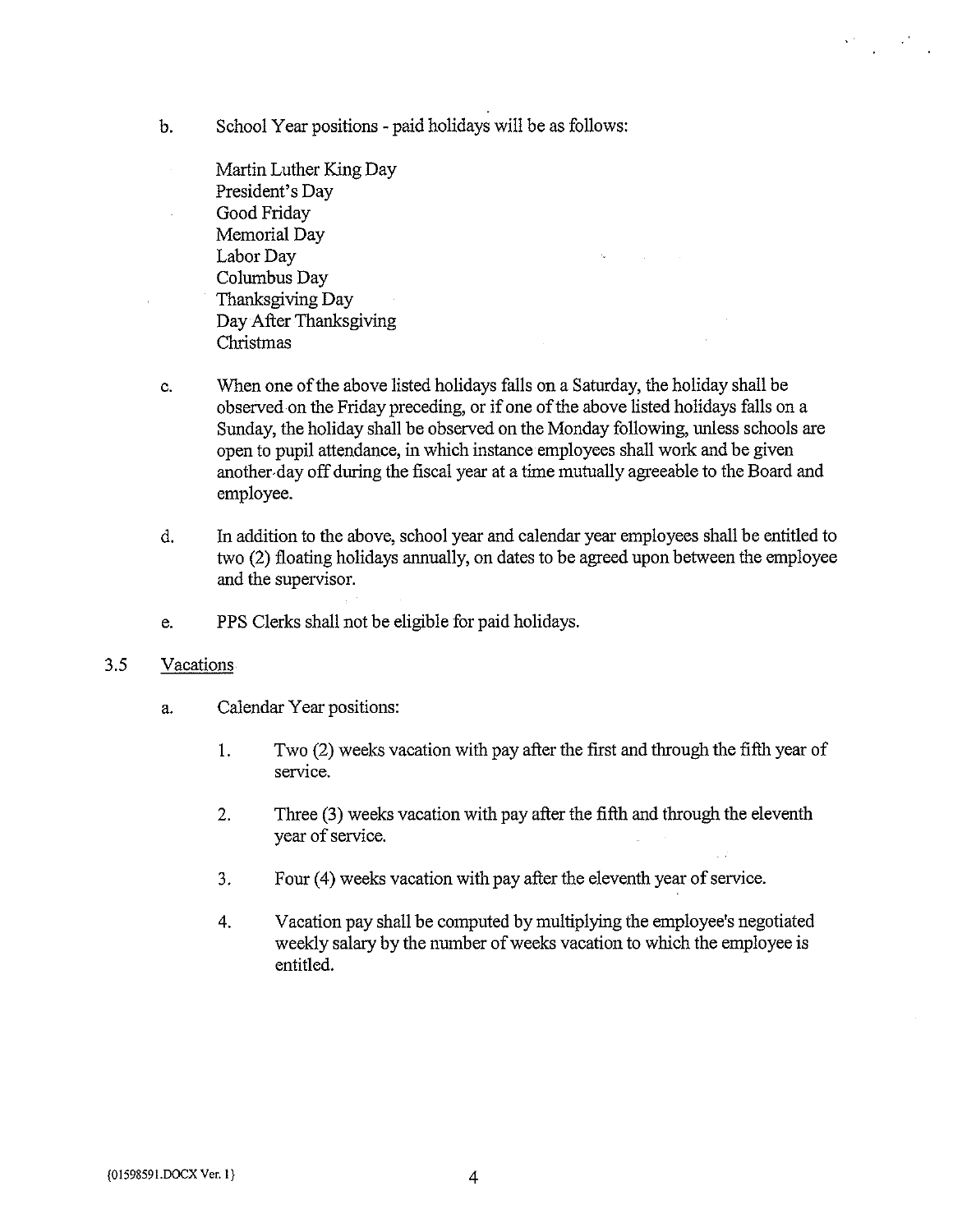- b. School Year positions paid holidays will be as follows:
	- Martin Luther King Day President's Day Good Friday Memorial Day Labor Day Columbus Day Thanksgiving Day Day After Thanksgiving Christmas
- c. When one of the above listed holidays falls on a Saturday, the holiday shall be observed on the Friday preceding, or if one of the above listed holidays falls on a Sunday, the holiday shall be observed on the Monday following, unless schools are open to pupil attendance, in which instance employees shall work and be given another day off during the fiscal year at a time mutually agreeable to the Board and employee.
- d. In addition to the above, school year and calendar year employees shall be entitled to two (2) floating holidays annually, on dates to be agreed upon between the employee and the supervisor.
- e. PPS Clerks shall not be eligible for paid holidays.

### 3.5 Vacations

- a. Calendar Year positions:
	- 1. Two (2) weeks vacation with pay after the first and through the fifth year of service.
	- 2. Three (3) weeks vacation with pay after the fifth and through the eleventh year of service.
	- 3. Four (4) weeks vacation with pay after the eleventh year of service.
	- 4. Vacation pay shall be computed by multiplying the employee's negotiated weekly salary by the number of weeks vacation to which the employee is entitled.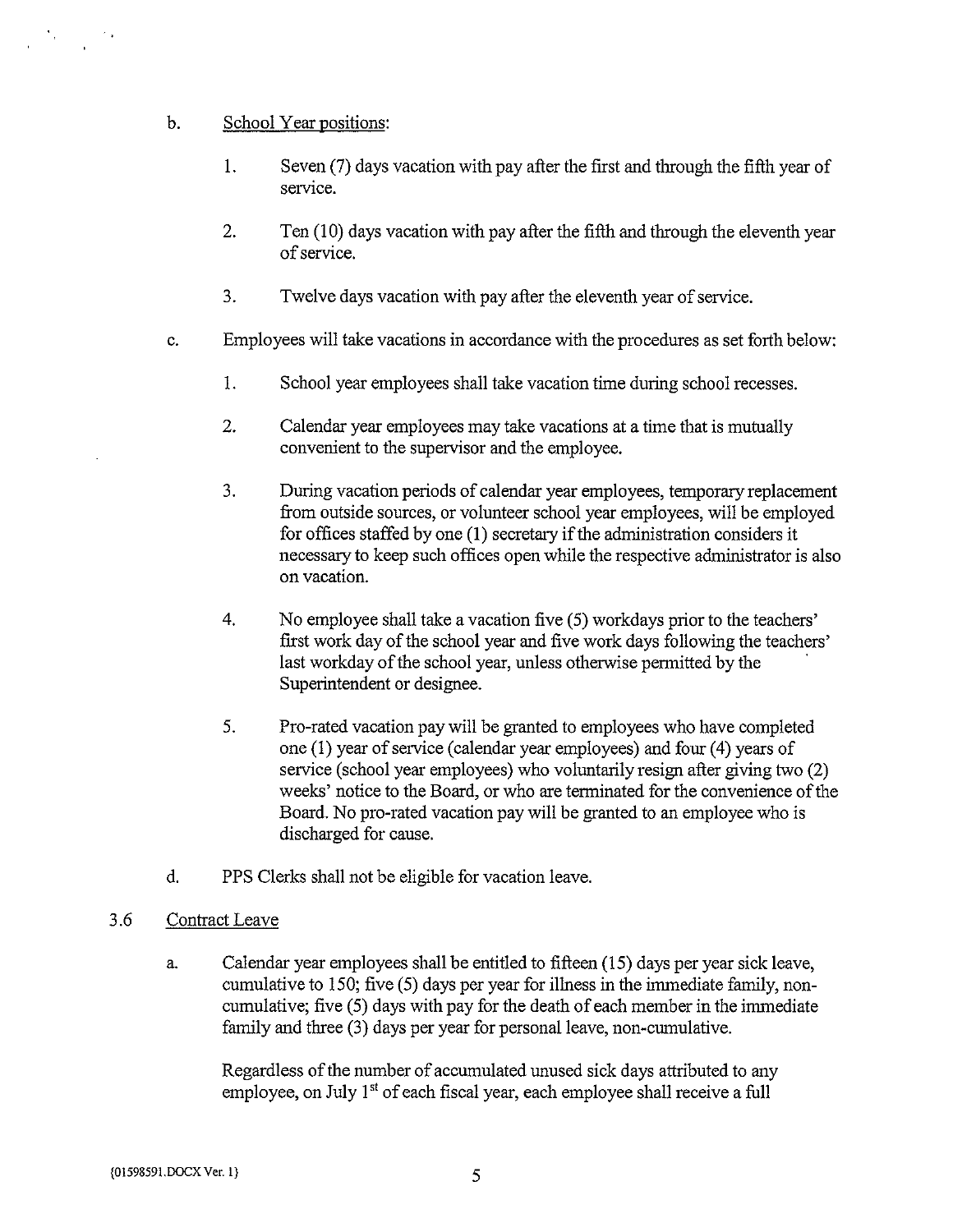## b. School Year positions:

- 1. Seven (7) days vacation with pay after the first and through the fifth year of service.
- 2. Ten (10) days vacation with pay after the fifth and through the eleventh year of service.
- 3. Twelve days vacation with pay after the eleventh year of service.
- c. Employees will take vacations in accordance with the procedures as set forth below:
	- 1. School year employees shall take vacation time during school recesses.
	- 2. Calendar year employees may take vacations at a time that is mutually convenient to the supervisor and the employee.
	- 3. During vacation periods of calendar year employees, temporary replacement from outside sources, or volunteer school year employees, will be employed for offices staffed by one  $(1)$  secretary if the administration considers it necessary to keep such offices open while the respective administrator is also on vacation.
	- 4. No employee shall take a vacation five (5) workdays prior to the teachers' first work day of the school year and five work days following the teachers' last workday of the school year, unless otherwise permitted by the Superintendent or designee.
	- 5. Pro-rated vacation pay will be granted to employees who have completed one (1) year of service (calendar year employees) and four (4) years of service (school year employees) who voluntarily resign after giving two (2) weeks' notice to the Board, or who are terminated for the convenience of the Board. No pro-rated vacation pay will be granted to an employee who is discharged for cause.
- d. PPS Clerks shall not be eligible for vacation leave.

### 3.6 Contract Leave

a. Calendar year employees shall be entitled to fifteen (15) days per year sick leave, cumulative to 150; five (5) days per year for illness in the immediate family, non cumulative; five (5) days with pay for the death of each member in the immediate family and three (3) days per year for personal leave, non-cumulative.

Regardless of the number of accumulated unused sick days attributed to any employee, on July  $1<sup>st</sup>$  of each fiscal year, each employee shall receive a full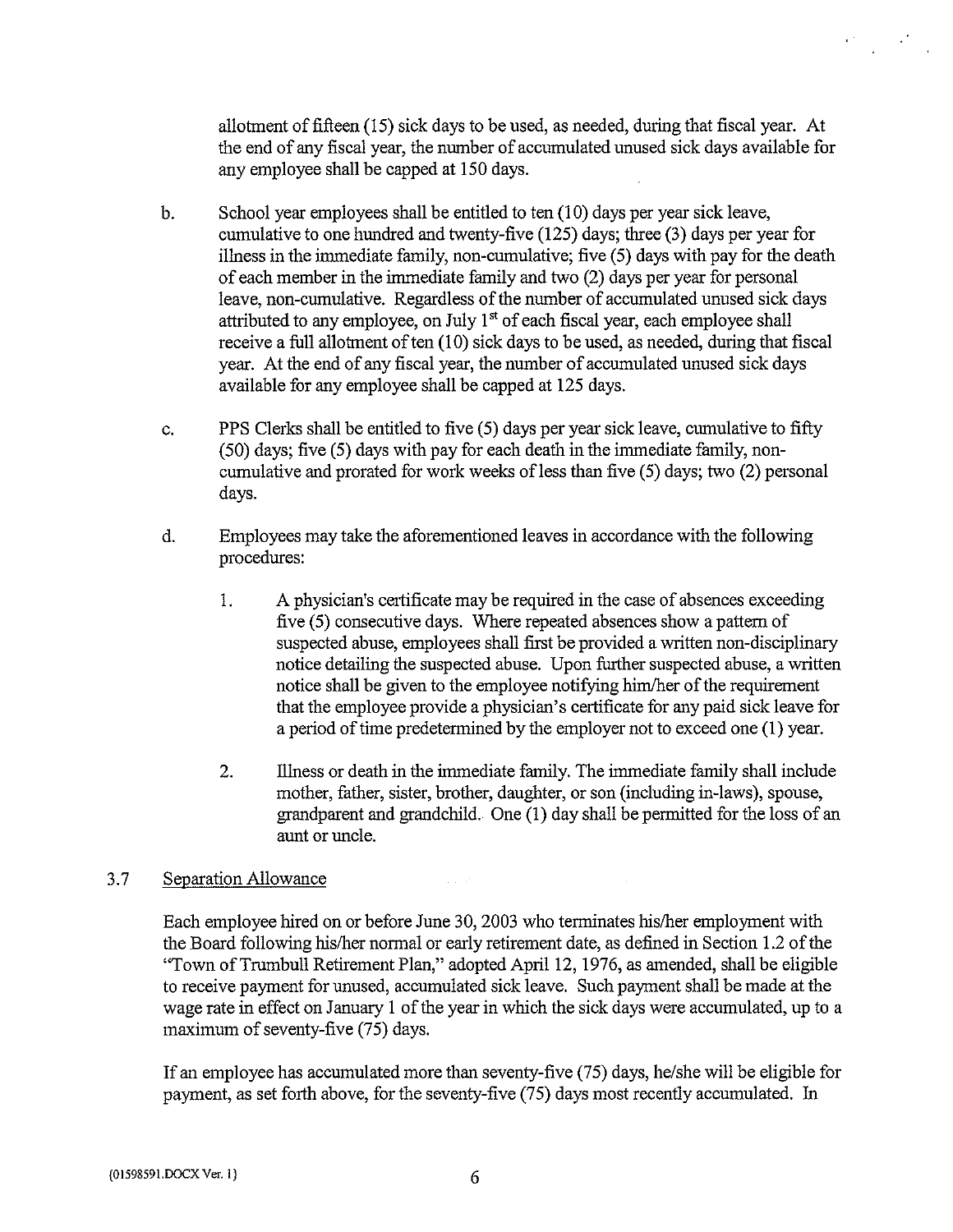allotment of fifteen (15) sick days to be used, as needed, during that fiscal year. At the end of any fiscal year, the number of accumulated unused sick days available for any employee shall be capped at 150 days.

- b. School year employees shall be entitled to ten (10) days per year sick leave, cumulative to one hundred and twenty-five (125) days; three (3) days per year for illness in the immediate family, non-cumulative; five (5) days with pay for the death of each member in the immediate family and two (2) days per year for personal leave, non-cumulative. Regardless of the number of accumulated unused sick days attributed to any employee, on July  $1<sup>st</sup>$  of each fiscal year, each employee shall receive a full allotment of ten  $(10)$  sick days to be used, as needed, during that fiscal year. At the end of any fiscal year, the number of accumulated unused sick days available for any employee shall be capped at 125 days.
- c. PPS Clerks shall be entitled to five (5) days per year sick leave, cumulative to fifty (50) days; five (5) days with pay for each death in the immediate family, noncumulative and prorated for work weeks of less than five (5) days; two (2) personal days.
- d. Employees may take the aforementioned leaves in accordance with the following procedures:
	- 1. A physician's certificate may be required in the case of absences exceeding five (5) consecutive days. Where repeated absences show <sup>a</sup> pattern of suspected abuse, employees shall first be provided a written non-disciplinary notice detailing the suspected abuse. Upon further suspected abuse, a written notice shall be given to the employee notifying him/her of the requirement that the employee provide a physician's certificate for any paid sick leave for <sup>a</sup> period of time predetermined by the employer not to exceed one (1) year.
	- 2. Illness or death in the immediate family. The immediate family shall include mother, father, sister, brother, daughter, or son (including in-laws), spouse, grandparent and grandchild. One (I) day shall be permitted for the loss of an aunt or uncle.

### 3.7 Separation Allowance

Each employee hired on or before June 30, 2003 who terminates his/her employment with the Board following his/her normal or early retirement date, as defined in Section 1.2 of the "Town ofTrumbull Retirement Plan," adopted April 12, 1976, as amended, shall be eligible to receive payment for unused, accumulated sick leave. Such payment shall be made at the wage rate in effect on January <sup>1</sup> of the year in which the sick days were accumulated, up to <sup>a</sup> maximum of seventy-five (75) days.

If an employee has accumulated more than seventy-five (75) days, he/she will be eligible for payment, as set forth above, for the seventy-five (75) days most recently accumulated. In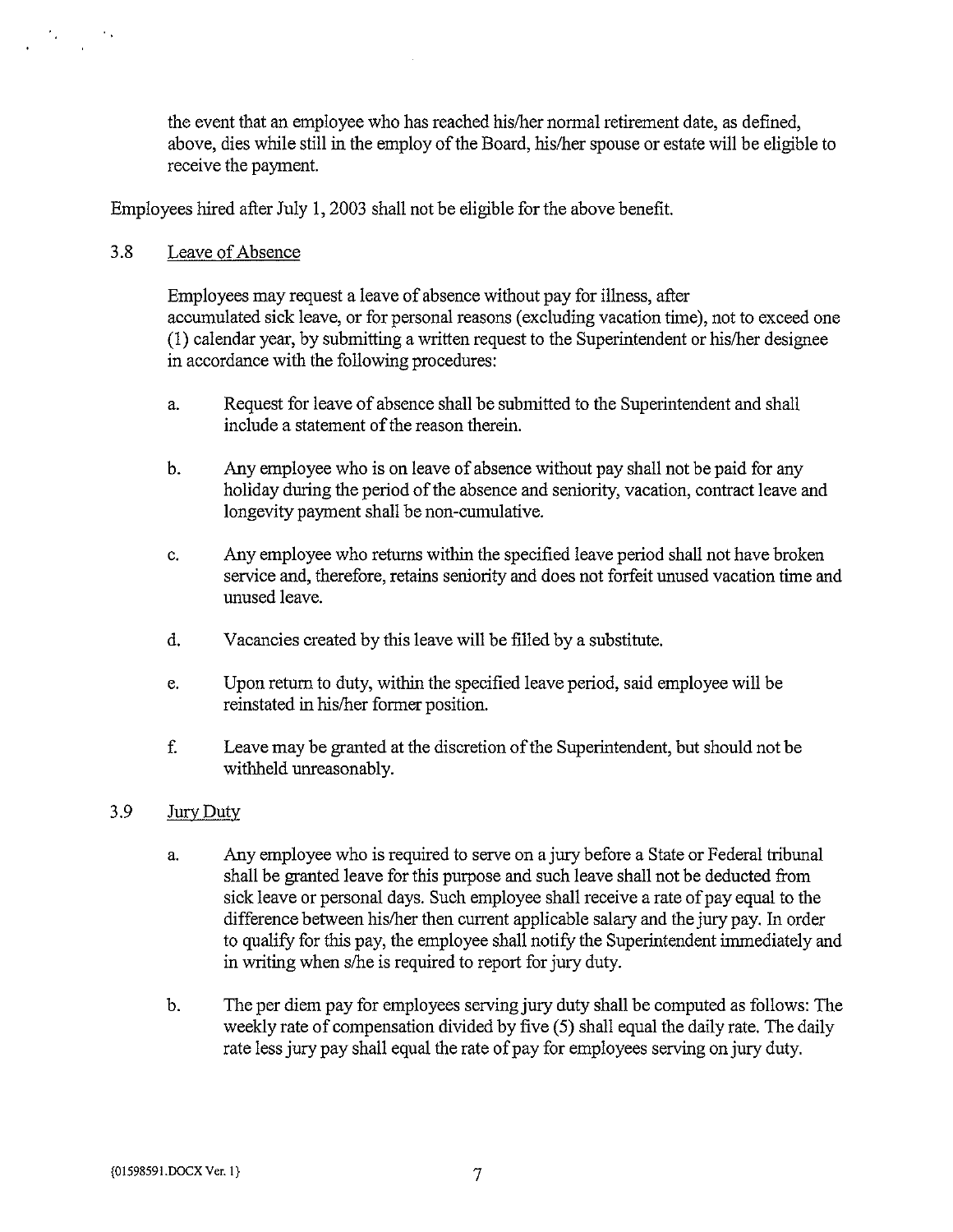the event that an employee who has reached his/her normal retirement date, as defined, above, dies while still in the employ of the Board, his/her spouse or estate will be eligible to receive the payment.

Employees hired after July 1, 2003 shall not be eligible for the above benefit.

# 3.8 Leave of Absence

Employees may request <sup>a</sup> leave of absence without pay for illness, after accumulated sick leave, or for personal reasons (excluding vacation time), not to exceed one  $(1)$  calendar year, by submitting a written request to the Superintendent or his/her designee in accordance with the following procedures:

- a. Request for leave of absence shall be submitted to the Superintendent and shall include a statement of the reason therein.
- b. Any employee who is on leave of absence without pay shall not be paid for any holiday during the period of the absence and seniority, vacation, contract leave and longevity payment shall be non-cumulative.
- c. Any employee who returns within the specified leave period shall not have broken service and, therefore, retains seniority and does not forfeit unused vacation time and unused leave.
- d. Vacancies created by this leave will be filled by <sup>a</sup> substitute.
- e. Upon return to duty, within the specified leave period, said employee will be reinstated in his/her former position.
- f. Leave may be granted at the discretion ofthe Superintendent, but should not be withheld unreasonably.

### 3.9 Jury Duty

- a. Any employee who is required to serve on <sup>a</sup> jury before <sup>a</sup> State or Federal tribunal shall be granted leave for this purpose and such leave shall not be deducted from sick leave or personal days. Such employee shall receive a rate of pay equal to the difference between his/her then current applicable salary and the jury pay. In order to qualify for this pay, the employee shall notify the Superintendent immediately and in writing when s/he is required to report for jury duty.
- b. The per diem pay for employees serving jury duty shall be computed as follows: The weekly rate of compensation divided by five (5) shall equal the daily rate. The daily rate less jury pay shall equal the rate of pay for employees serving on jury duty.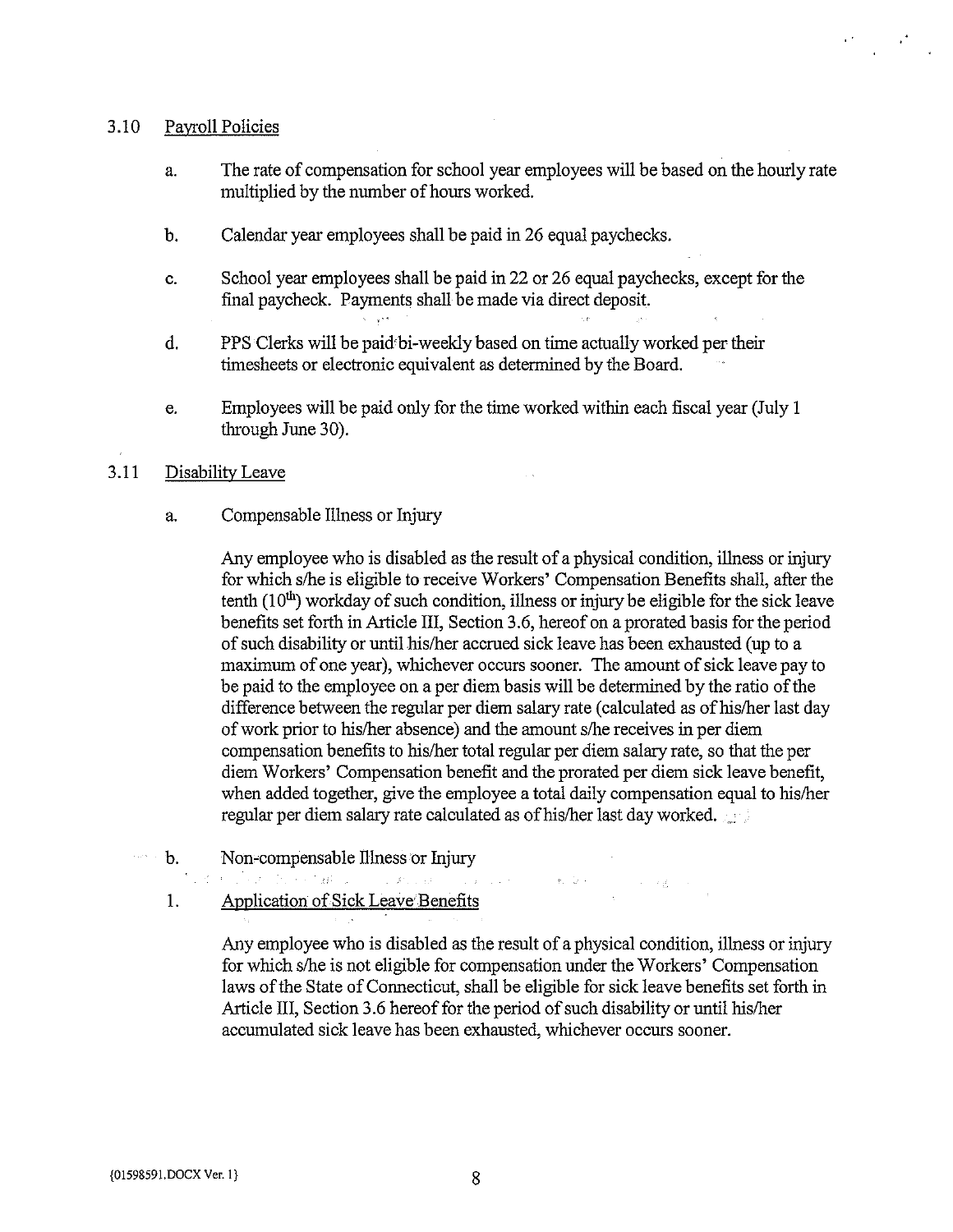#### 3.10 Payroll Policies

- a. The rate of compensation for school year employees will be based on the hourly rate multiplied by the number of hours worked.
- b. Calendar year employees shall be paid in 26 equal paychecks.
- c. School year employees shall be paid in 22 or 26 equal paychecks, except for the final paycheck. Payments shall be made via direct deposit.
- d. PPS Clerks will be paid bi-weekly based on time actually worked per their timesheets or electronic equivalent as determined by the Board.
- e. Employees will be paid only for the time worked within each fiscal year (July <sup>1</sup> through June 30).

#### 3.11 Disability Leave

a. Compensable Illness or Injury

Any employee who is disabled as the result of <sup>a</sup> physical condition, illness or injury for which s/he is eligible to receive Workers' Compensation Benefits shall, after the tenth  $(10<sup>th</sup>)$  workday of such condition, illness or injury be eligible for the sick leave benefits set forth in Article 111, Section 3.6, hereof on a prorated basis for the period of such disability or until his/her accrued sick leave has been exhausted (up to <sup>a</sup> maximum of one year), whichever occurs sooner. The amount of sick leave pay to be paid to the employee on a per diem basis will be determined by the ratio of the difference between the regular per diem salary rate (calculated as ofhis/her last day of work prior to his/her absence) and the amount s/he receives in per diem compensation benefits to his/her total regular per diem salary rate, so that the per diem Workers' Compensation benefit and the prorated per diem sick leave benefit, when added together, give the employee a total daily compensation equal to his/her regular per diem salary rate calculated as of his/her last day worked.

- b. Non-compensable illness or Injury  $\mathcal{L}(\mathcal{L})$ 
	-
	- 1. Application of Sick Leave Benefits

Any employee who is disabled as the result of <sup>a</sup> physical condition, illness or injury for which s/he is not eligible for compensation under the Workers' Compensation laws of the State of Connecticut, shall be eligible for sick leave benefits set forth in Article III, Section 3.6 hereof for the period of such disability or until his/her accumulated sick leave has been exhausted, whichever occurs sooner.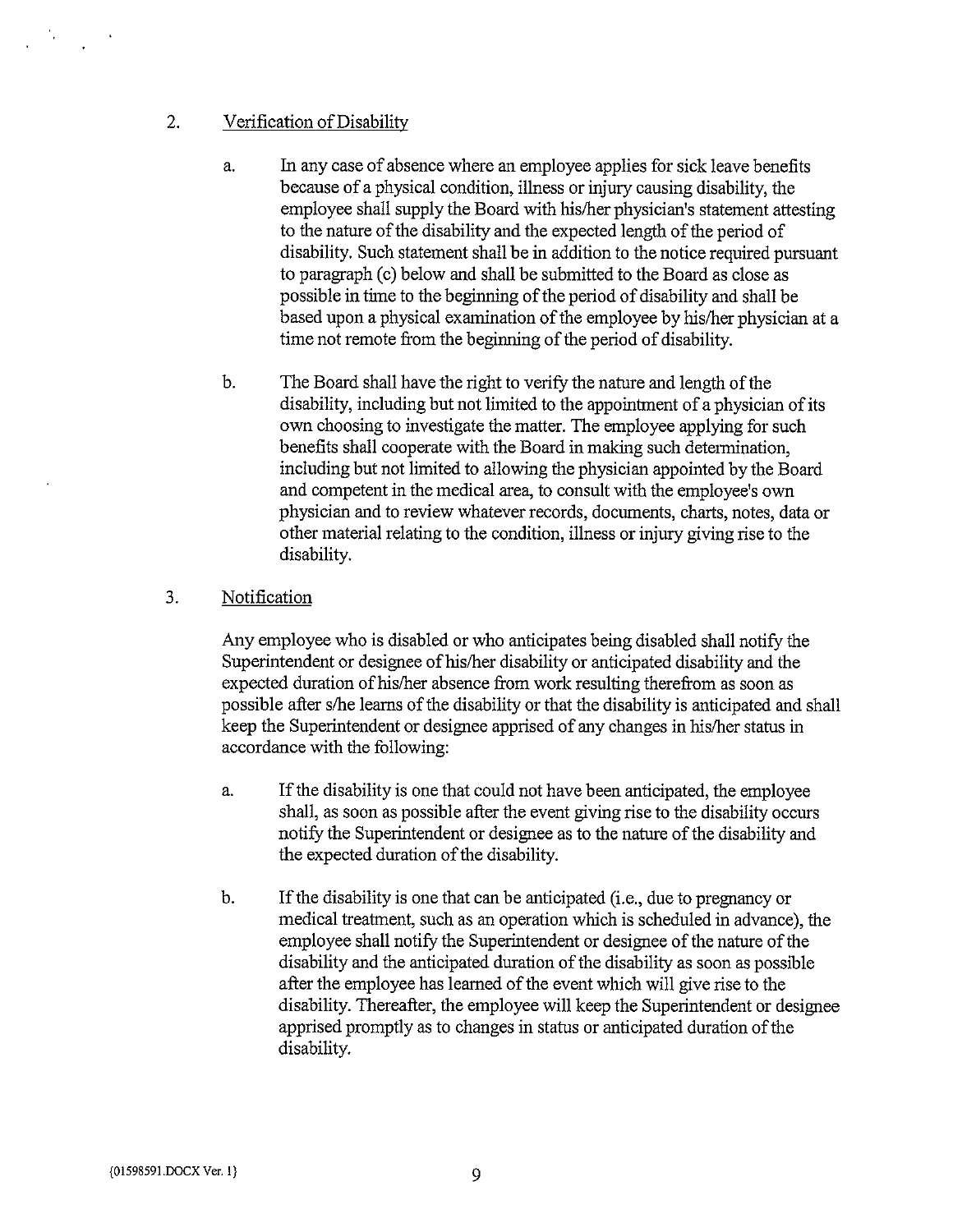## 2. Verification of Disability

- a. In any case of absence where an employee applies for sick leave benefits because of <sup>a</sup> physical condition, illness or injury causing disability, the employee shall supply the Board with his/her physician's statement attesting to the nature of the disability and the expected length of the period of disability. Such statement shall be in addition to the notice required pursuant to paragraph (c) below and shall be submitted to the Board as close as possible in time to the beginning of the period of disability and shall be based upon a physical examination of the employee by his/her physician at a time not remote from the beginning of the period of disability.
- b. The Board shall have the right to verify the nature and length of the disability, including but not limited to the appointment of a physician of its own choosing to investigate the matter. The employee applying for such benefits shall cooperate with the Board in making such determination, including but not limited to allowing the physician appointed by the Board and competent in the medical area, to consult with the employee's own physician and to review whatever records, documents, charts, notes, data or other material relating to the condition, illness or injury giving rise to the disability.

### 3. Notification

Any employee who is disabled or who anticipates being disabled shall notify the Superintendent or designee of his/her disability or anticipated disability and the expected duration of his/her absence from work resulting therefrom as soon as possible after s/he learns of the disability or that the disability is anticipated and shall keep the Superintendent or designee apprised of any changes in his/her status in accordance with the following:

- a. Ifthe disability is one that could not have been anticipated, the employee shall, as soon as possible after the event giving rise to the disability occurs notify the Superintendent or designee as to the nature of the disability and the expected duration of the disability.
- b. If the disability is one that can be anticipated (i.e., due to pregnancy or medical treatment, such as an operation which is scheduled in advance), the employee shall notify the Superintendent or designee of the nature of the disability and the anticipated duration of the disability as soon as possible after the employee has learned of the event which will give rise to the disability. Thereafter, the employee will keep the Superintendent or designee apprised promptly as to changes in status or anticipated duration of the disability.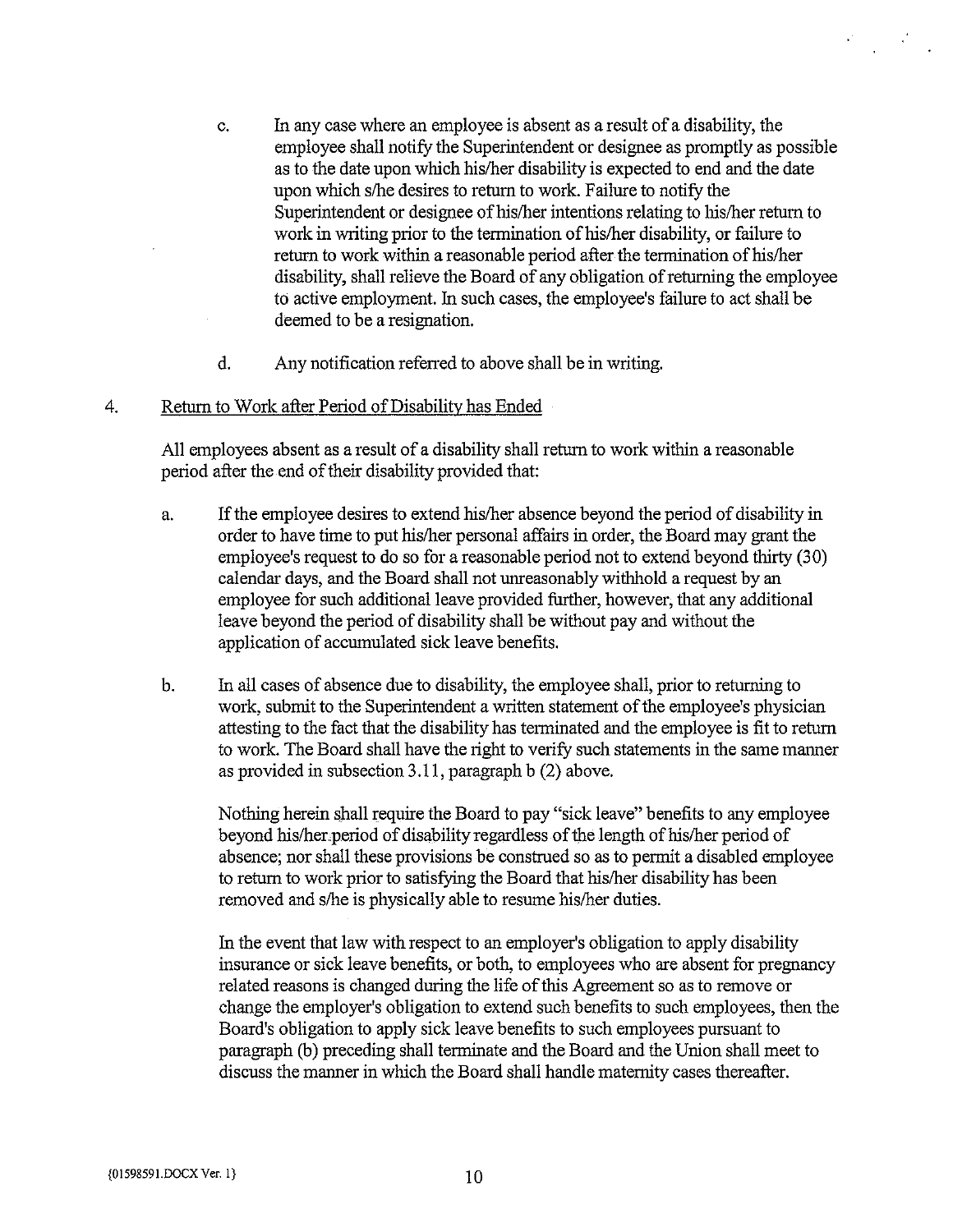- c. In any case where an employee is absent as <sup>a</sup> result of <sup>a</sup> disability, the employee shall notify the Superintendent or designee as promptly as possible as to the date upon which his/her disability is expected to end and the date upon which s/he desires to return to work. Failure to notify the Superintendent or designee of his/her intentions relating to his/her return to work in writing prior to the termination of his/her disability, or failure to return to work within a reasonable period after the termination of his/her disability, shall relieve the Board of any obligation of returning the employee to active employment. In such cases, the employee's failure to act shall be deemed to be a resignation.
- d. Any notification referred to above shall be in writing.

#### 4. Return to Work after Period of Disability has Ended

All employees absent as <sup>a</sup> result of <sup>a</sup> disability shall return to work within <sup>a</sup> reasonable period after the end of their disability provided that:

- a. If the employee desires to extend his/her absence beyond the period of disability in order to have time to put his/her personal affairs in order, the Board may grant the employee's request to do so for a reasonable period not to extend beyond thirty (30) calendar days, and the Board shall not unreasonably withhold a request by an employee for such additional leave provided fhrther, however, that any additional leave beyond the period of disability shall be without pay and without the application of accumulated sick leave benefits.
- b. In all cases of absence due to disability, the employee shall, prior to returning to work, submit to the Superintendent a written statement of the employee's physician attesting to the fact that the disability has terminated and the employee is fit to return to work. The Board shall have the right to verify such statements in the same manner as provided in subsection 3.11, paragraph b (2) above.

Nothing herein shall require the Board to pay "sick leave" benefits to any employee beyond his/herperiod of disability regardless of the length of his/her period of absence; nor shall these provisions be construed so as to permit a disabled employee to return to work prior to satisfying the Board that his/her disability has been removed and s/he is physically able to resume his/her duties.

In the event that law with respect to an employer's obligation to apply disability insurance or sick leave benefits, or both, to employees who are absent for pregnancy related reasons is changed during the life of this Agreement so as to remove or change the employer's obligation to extend such benefits to such employees, then the Board's obligation to apply sick leave benefits to such employees pursuant to paragraph (b) preceding shall terminate and the Board and the Union shall meet to discuss the manner in which the Board shall handle maternity cases thereafter.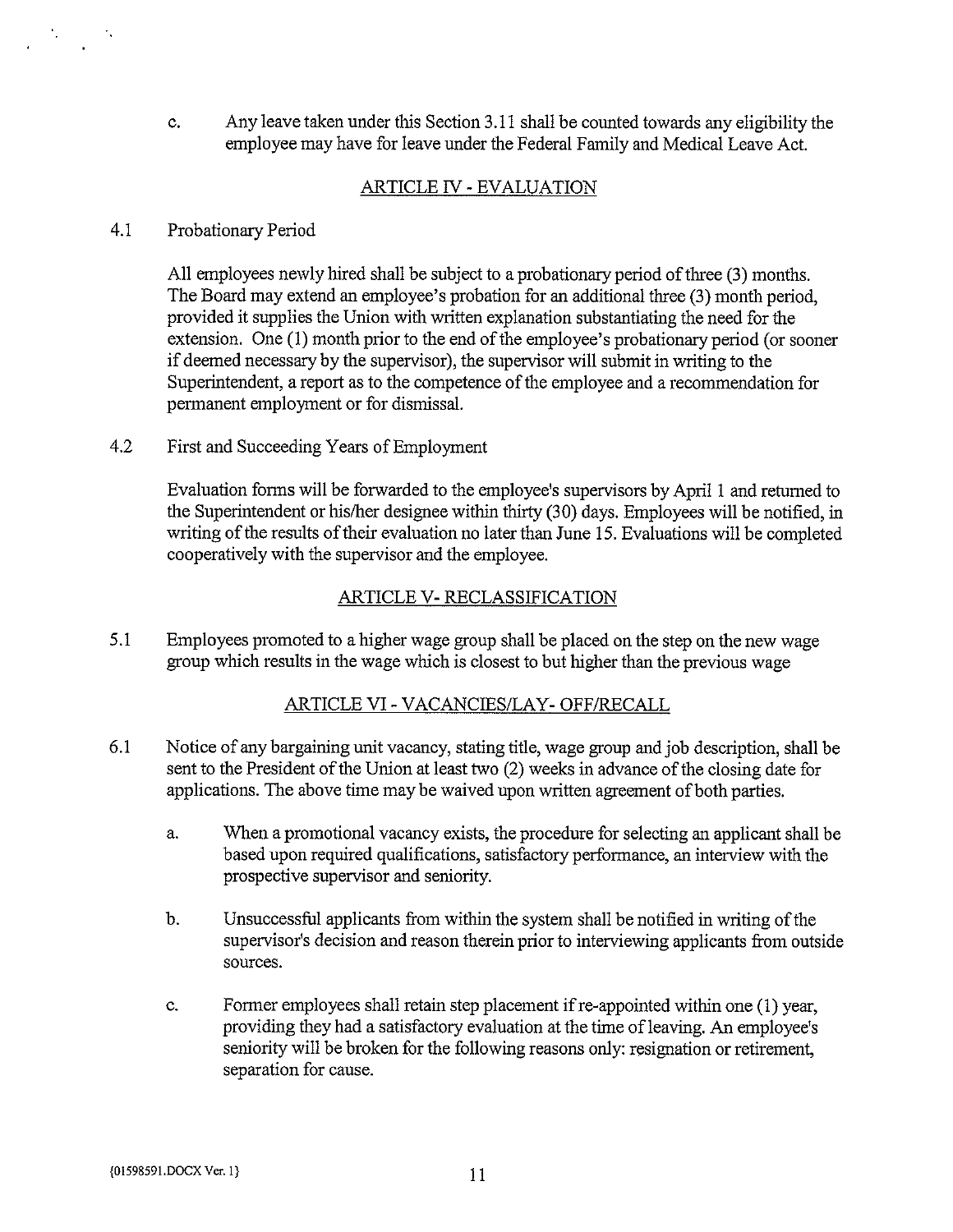c. Any leave taken under this Section 3.11 shall be counted towards any eligibility the employee may have for leave under the Federal Family and Medical Leave Act.

# ARTICLE TV - EVALUATION

#### 4.1 Probationary Period

All employees newly hired shall be subject to <sup>a</sup> probationary period of three (3) months. The Board may extend an employee's probation for an additional three (3) month period, provided it supplies the Union with written explanation substantiating the need for the extension. One (1) month prior to the end of the employee's probationary period (or sooner if deemed necessary by the supervisor), the supervisor will submit in writing to the Superintendent, a report as to the competence of the employee and a recommendation for permanent employment or for dismissal.

4.2 First and Succeeding Years of Employment

Evaluation forms will be forwarded to the employee's supervisors by April <sup>1</sup> and retumed to the Superintendent or his/her designee within thirty (30) days. Employees will be notified, in writing of the results of their evaluation no later than June 15. Evaluations will be completed cooperatively with the supervisor and the employee.

# ARTICLE V- RECLASSIFICATION

5.1 Employees promoted to a higher wage group shall be placed on the step on the new wage group which results in the wage which is closest to but higher than the previous wage

### ARTICLE VI- VACANCIES/LAY- OFF/RECALL

- 6.1 Notice of any bargaining unit vacancy, stating title, wage group and job description, shall be sent to the President of the Union at least two (2) weeks in advance of the closing date for applications. The above time may be waived upon written agreement of both parties.
	- a. When a promotional vacancy exists, the procedure for selecting an applicant shall be based upon required qualifications, satisfactory performance, an interview with the prospective supervisor and seniority.
	- b. Unsuccessful applicants from within the system shall be notified in writing of the supervisor's decision and reason therein prior to interviewing applicants from outside sources.
	- c. Former employees shall retain step placement ifre-appointed within one (1) year, providing they had a satisfactory evaluation at the time of leaving. An employee's seniority will be broken for the following reasons only: resignation or retirement, separation for cause.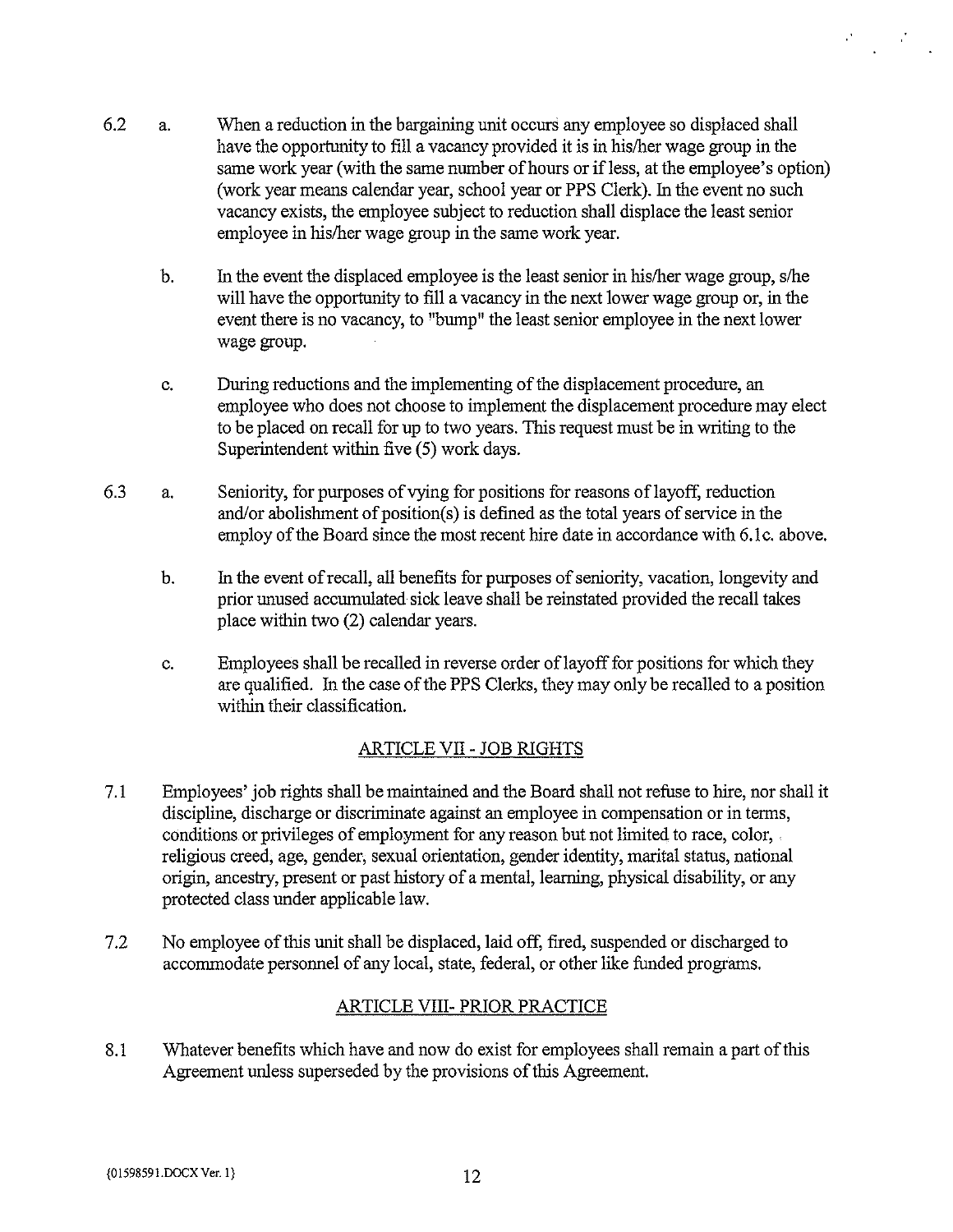- 6.2 a. When a reduction in the bargaining unit occurs any employee so displaced shall have the opportunity to fill <sup>a</sup> vacancy provided it is in his/her wage group in the same work year (with the same number of hours or if less, at the employee's option) (work year means calendar year, school year or PPS Clerk). In the event no such vacancy exists, the employee subject to reduction shall displace the least senior employee in his/her wage group in the same work year.
	- b. In the event the displaced employee is the least senior in his/her wage group, s/he will have the opportunity to fill <sup>a</sup> vacancy in the next lower wage group or, in the event there is no vacancy, to "bump" the least senior employee in the next lower wage group.
	- c. During reductions and the implementing of the displacement procedure, an employee who does not choose to implement the displacement procedure may elect to be placed on recall for up to two years. This request must be in writing to the Superintendent within five (5) work days.
- 6.3 a. Seniority, for purposes ofvying for positions for reasons oflayoff, reduction and/or abolishment of position(s) is defined as the total years of service in the employ of the Board since the most recent hire date in accordance with 6.1c. above.
	- b. In the event ofrecall, all benefits for purposes of seniority, vacation, longevity and prior unused accumulated sick leave shall be reinstated provided the recall takes place within two (2) calendar years.
	- c. Employees shall be recalled in reverse order oflayoff for positions for which they are qualified. In the case of the PPS Clerks, they may only be recalled to <sup>a</sup> position within their classification.

# ARTICLE VII- JOB RIGHTS

- 7.1 Employees' job rights shall be maintained and the Board shall not refuse to hire, nor shall it discipline, discharge or discriminate against an employee in compensation or in terms, conditions or privileges of employment for any reason but not limited to race, color, religious creed, age, gender, sexual orientation, gender identity, marital status, national origin, ancestry, present or past history of <sup>a</sup> mental, learning, physical disability, or any protected class under applicable law.
- 7.2 No employee of this unit shall be displaced, laid off, fired, suspended or discharged to accommodate personnel of any local, state, federal, or other like funded programs.

# ARTICLE VIII- PRIOR PRACTICE

8.1 Whatever benefits which have and now do exist for employees shall remain <sup>a</sup> part of this Agreement unless superseded by the provisions of this Agreement.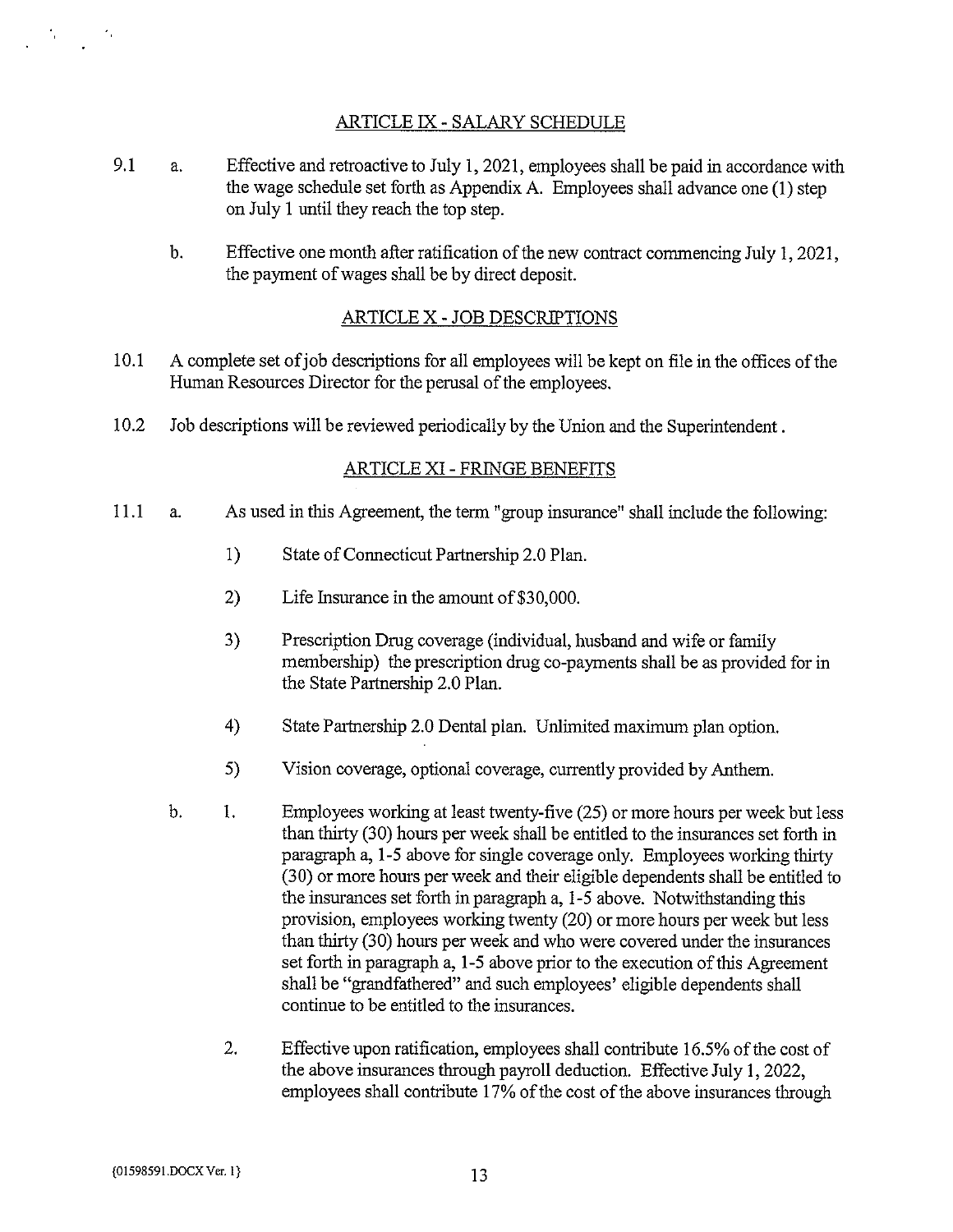# ARTICLE IX - SALARY SCHEDULE

- 9.1 a. Effective and retroactive to July 1,2021, employees shall be paid in accordance with the wage schedule set forth as Appendix A. Employees shall advance one (1) step on July <sup>1</sup> until they reach the top step.
	- b. Effective one month after ratification of the new contract commencing July 1, 2021, the payment of wages shall be by direct deposit.

# ARTICLE X - JOB DESCRIPTIONS

- 10.1 A complete set of job descriptions for all employees will be kept on file in the offices of the Human Resources Director for the perusal of the employees.
- 10.2 Job descriptions will be reviewed periodically by the Union and the Superintendent.

### ARTICLE XI- FRINGE BENEFITS

- 11.1 a. As used in this Agreement, the term "group insurance" shall include the following:
	- 1) State of Connecticut Partnership 2.0 Plan.
	- 2) Life Insurance in the amount of \$30,000.
	- 3) Prescription Drug coverage (individual, husband and wife or family membership) the prescription drug co-payments shall be as provided for in the State Partnership 2.0 Plan.
	- 4) State Partnership 2.0 Dental plan. Unlimited maximum plan option.
	- 5) Vision coverage, optional coverage, currently provided by Anthem.
	- b. 1. Employees working at least twenty-five (25) or more hours per week but less than thirty (30) hours per week shall be entitled to the insurances set forth in paragraph a, 1-5 above for single coverage only. Employees working thirty (30) or more hours per week and their eligible dependents shall be entitled to the insurances set forth in paragraph a, 1-5 above. Notwithstanding this provision, employees working twenty (20) or more hours per week but less than thirty (30) hours per week and who were covered under the insurances set forth in paragraph a, 1-5 above prior to the execution of this Agreement shall be "grandfathered" and such employees' eligible dependents shall continue to be entitled to the insurances.
		- 2. Effective upon ratification, employees shall contribute 16.5% of the cost of the above insurances through payroll deduction. Effective July 1, 2022, employees shall contribute 17% of the cost of the above insurances through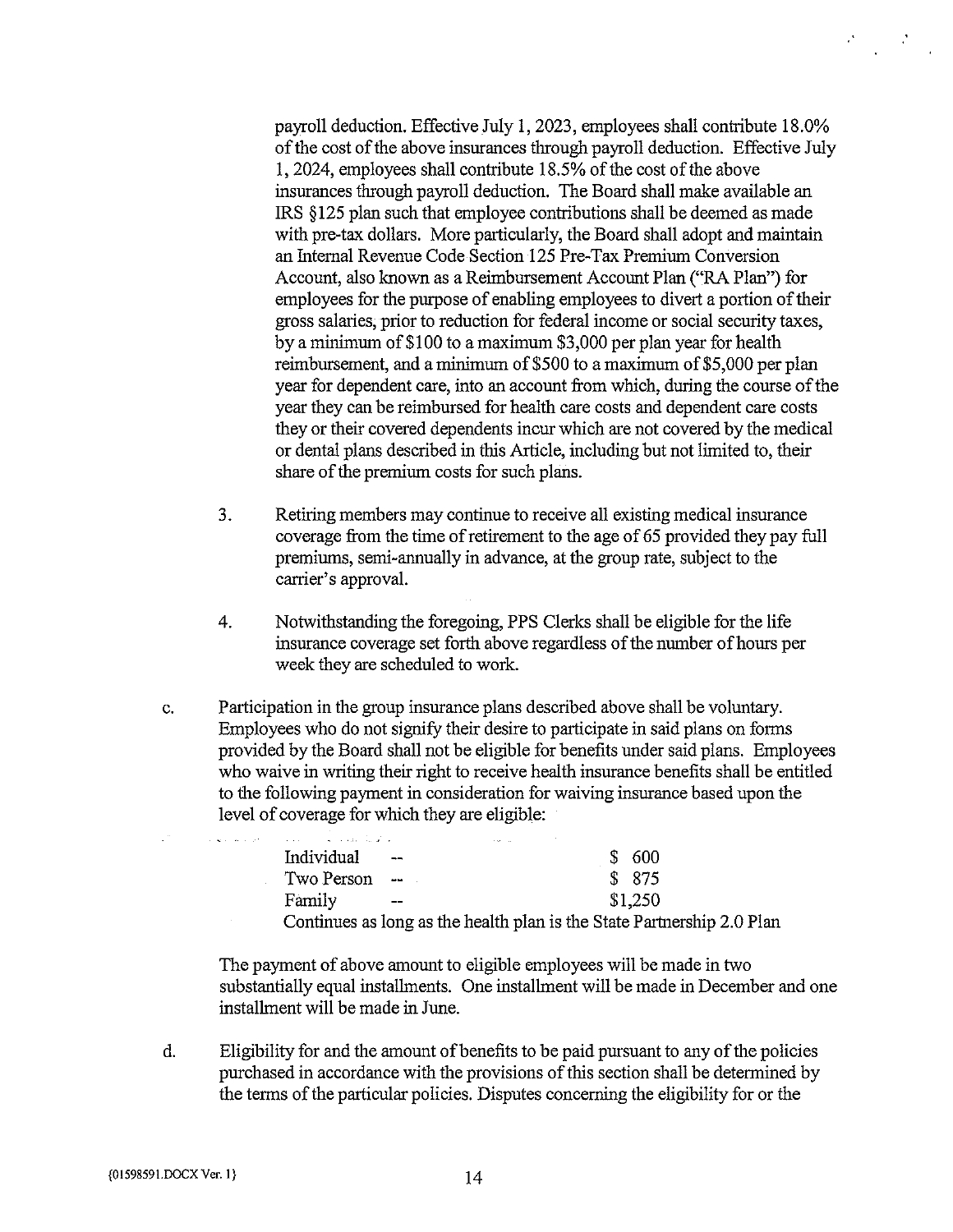payroll deduction. Effective July 1, 2023, employees shall contribute 18.0% of the cost of the above insurances through payroll deduction. Effective July 1, 2024, employees shall contribute 18.5% of the cost of the above insurances through payroll deduction. The Board shall make available an IRS § 125 plan such that employee contributions shall be deemed as made with pre-tax dollars. More particularly, the Board shall adopt and maintain an Internal Revenue Code Section 125 Pre-Tax Premium Conversion Account, also known as <sup>a</sup> Reimbursement Account Plan ("RA Plan") for employees for the purpose of enabling employees to divert a portion of their gross salaries, prior to reduction for federal income or social security taxes, by <sup>a</sup> minimum of \$100 to a maximum \$3,000 per plan year for health reimbursement, and a minimum of \$500 to <sup>a</sup> maximum of \$5,000 per plan year for dependent care, into an account from which, during the course of the year they can be reimbursed for health care costs and dependent care costs they or their covered dependents incur which are not covered by the medical or dental plans described in this Article, including but not limited to, their share of the premium costs for such plans.

- 3. Retiring members may continue to receive all existing medical insurance coverage from the time of retirement to the age of 65 provided they pay full premiums, semi-annually in advance, at the group rate, subject to the carrier's approval.
- 4. Notwithstanding the foregoing, PPS Clerks shall be eligible for the life insurance coverage set forth above regardless of the number of hours per week they are scheduled to work.
- c. Participation in the group insurance plans described above shall be voluntary. Employees who do not signify their desire to participate in said plans on forms provided by the Board shall not be eligible for benefits under said plans. Employees who waive in writing their right to receive health insurance benefits shall be entitled to the following payment in consideration for waiving insurance based upon the level of coverage for which they are eligible:

| <b>Contract</b> | المالكي لكالمعاملات المالية المتحدة | Alberta Car                                                            |         |
|-----------------|-------------------------------------|------------------------------------------------------------------------|---------|
|                 | Individual                          | $\overline{\phantom{a}}$                                               | \$600   |
|                 | Two Person                          | الراب الموقف المراد                                                    | \$875   |
|                 | Family                              | $- -$                                                                  | \$1,250 |
|                 |                                     | Continues as long as the health plan is the State Partnership 2.0 Plan |         |

The payment of above amount to eligible employees will be made in two substantially equal installments. One installment will be made in December and one installment will be made in June.

d. Eligibility for and the amount of benefits to be paid pursuant to any of the policies purchased in accordance with the provisions of this section shall be determined by the terms of the particular policies. Disputes concerning the eligibility for or the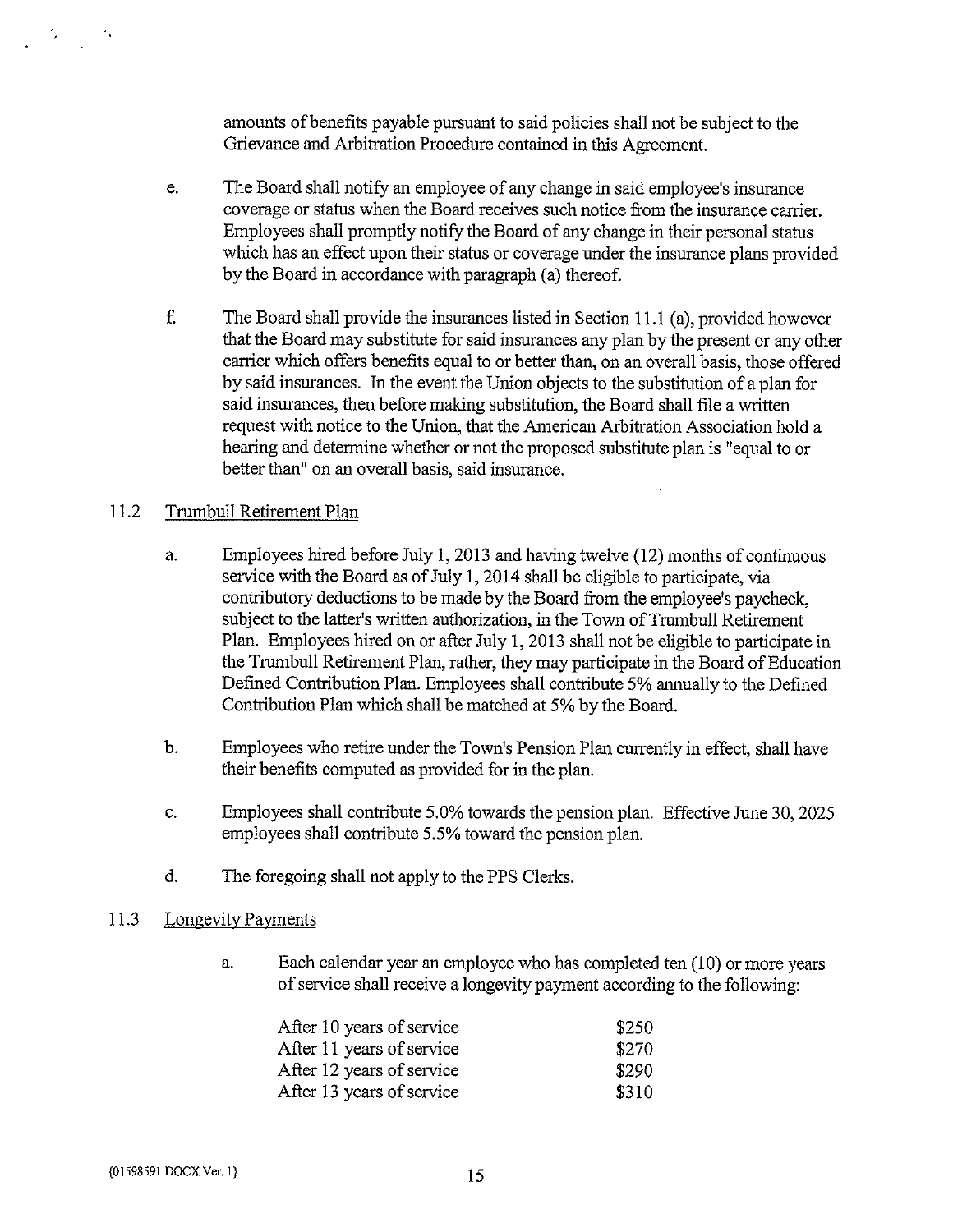amounts of benefits payable pursuant to said policies shall not be subject to the Grievance and Arbitration Procedure contained in this Agreement.

- e. The Board shall notify an employee of any change in said employee's insurance coverage or status when the Board receives such notice from the insurance carrier. Employees shall promptly notify the Board of any change in their personal status which has an effect upon their status or coverage under the insurance plans provided by the Board in accordance with paragraph (a) thereof
- f. The Board shall provide the insurances listed in Section 11.1(a), provided however that the Board may substitute for said insurances any plan by the present or any other carrier which offers benefits equal to or better than, on an overall basis, those offered by said insurances. In the event the Union objects to the substitution of <sup>a</sup> plan for said insurances, then before making substitution, the Board shall file a written request with notice to the Union, that the American Arbitration Association hold a hearing and determine whether or not the proposed substitute plan is "equal to or better than" on an overall basis, said insurance.

# 11.2 Trumbull Retirement Plan

- a. Employees hired before July 1, 2013 and having twelve (12) months of continuous service with the Board as of July 1, 2014 shall be eligible to participate, via contributory deductions to be made by the Board from the employee's paycheck, subject to the latter's written authorization, in the Town of Trumbull Retirement Plan. Employees hired on or after July 1, 2013 shall not be eligible to participate in the Trumbull Retirement Plan, rather, they may participate in the Board of Education Defined Contribution Plan. Employees shall contribute 5% annually to the Defined Contribution Plan which shall be matched at 5% by the Board.
- b. Employees who retire under the Town's Pension Plan currently in effect, shall have their benefits computed as provided for in the plan.
- c. Employees shall contribute 5.0% towards the pension plan. Effective June 30, 2025 employees shall contribute 5.5% toward the pension plan.
- d. The foregoing shall not apply to the PPS Clerks.

### 11.3 Longevity Payments

a. Each calendar year an employee who has completed ten (10) or more years of service shall receive <sup>a</sup> longevity payment according to the following:

| After 10 years of service | \$250 |
|---------------------------|-------|
| After 11 years of service | \$270 |
| After 12 years of service | \$290 |
| After 13 years of service | \$310 |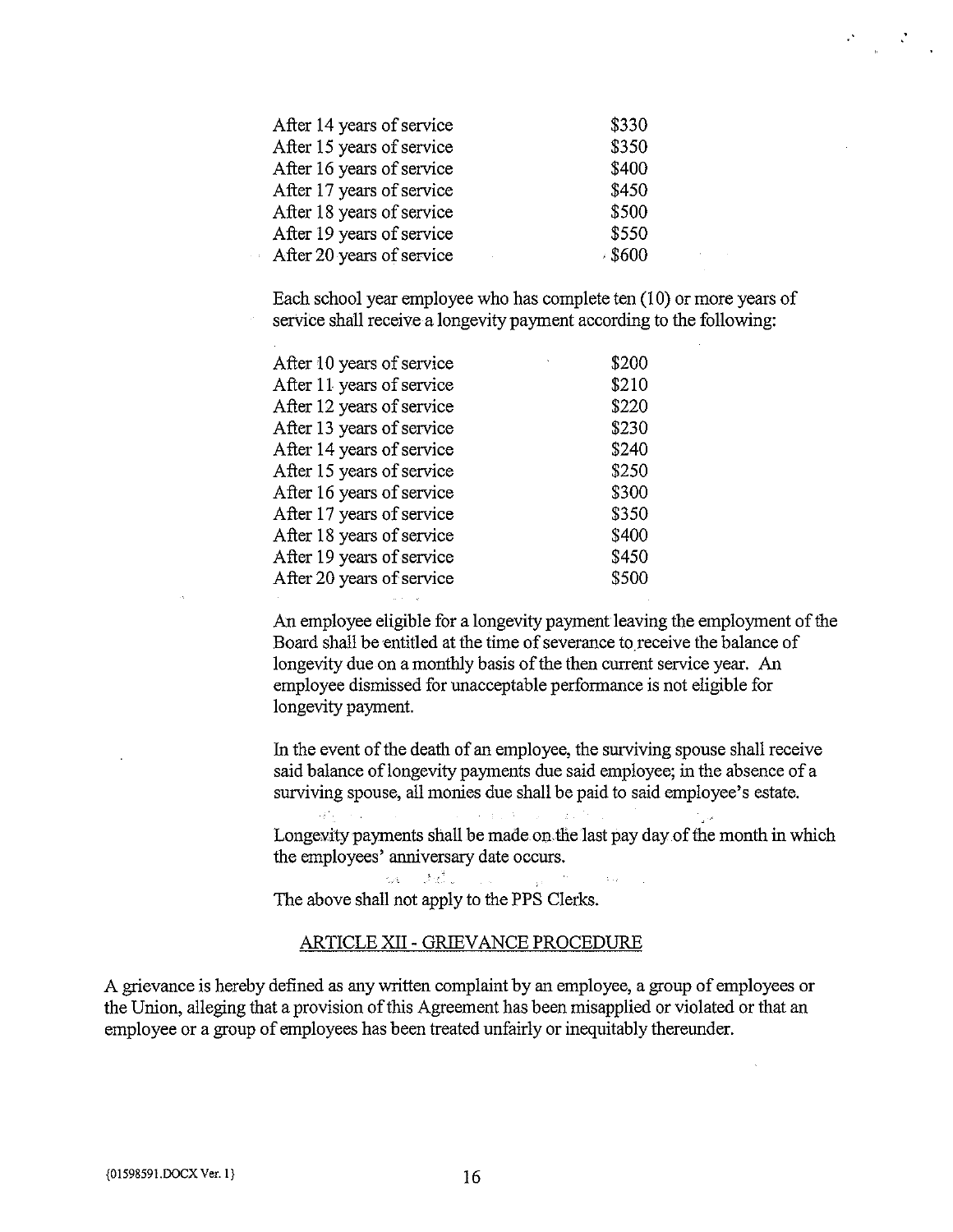| After 14 years of service | \$330 |
|---------------------------|-------|
| After 15 years of service | \$350 |
| After 16 years of service | \$400 |
| After 17 years of service | \$450 |
| After 18 years of service | \$500 |
| After 19 years of service | \$550 |
| After 20 years of service | 8600  |

Each school year employee who has complete ten (10) or more years of service shall receive a longevity payment according to the following:

| After 10 years of service | \$200 |
|---------------------------|-------|
| After 11 years of service | \$210 |
| After 12 years of service | \$220 |
| After 13 years of service | \$230 |
| After 14 years of service | \$240 |
| After 15 years of service | \$250 |
| After 16 years of service | \$300 |
| After 17 years of service | \$350 |
| After 18 years of service | \$400 |
| After 19 years of service | \$450 |
| After 20 years of service | \$500 |

An employee eligible for <sup>a</sup> longevity payment leaving the employment of the Board shall be entitled at the time of severance to receive the balance of longevity due on a monthly basis of the then current service year. An employee dismissed for unacceptable performance is not eligible for longevity payment.

In the event of the death of an employee, the surviving spouse shall receive said balance of longevity payments due said employee; in the absence of a surviving spouse, all monies due shall be paid to said employee's estate.

Longevity payments shall be made on the last pay day of the month in which the employees' anniversary date occurs.

The above shall not apply to the PPS Clerks.

#### ARTICLE XII - GRIEVANCE PROCEDURE

ma della communicazione

A grievance is hereby defined as any written complaint by an employee, <sup>a</sup> group of employees or the Union, alleging that a provision of this Agreement has been misapplied or violated or that an employee or <sup>a</sup> group of employees has been treated unfairly or inequitably thereunder.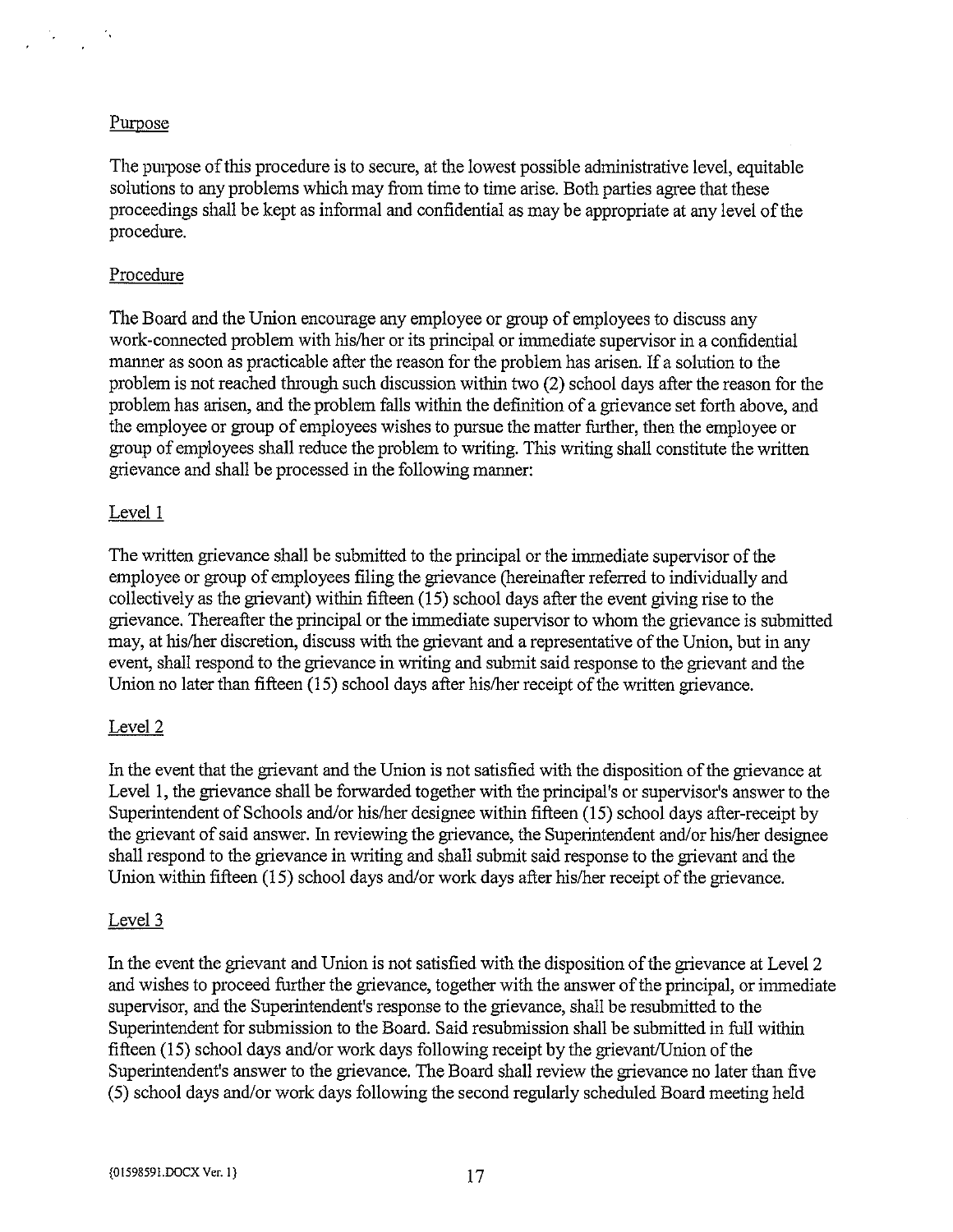#### Purpose

The purpose of this procedure is to secure, at the lowest possible administrative level, equitable solutions to any problems which may from time to time arise. Both parties agree that these proceedings shall be kept as informal and confidential as may be appropriate at any level of the procedure.

#### Procedure

The Board and the Union encourage any employee or group of employees to discuss any work-connected problem with his/her or its principal or immediate supervisor in a confidential manner as soon as practicable after the reason for the problem has arisen. If a solution to the problem is not reached through such discussion within two (2) school days after the reason for the problem has arisen, and the problem falls within the definition of <sup>a</sup> grievance set forth above, and the employee or group of employees wishes to pursue the matter further, then the employee or group of employees shall reduce the problem to writing. This writing shall constitute the written grievance and shall be processed in the following manner:

#### Level I

The written grievance shall be submitted to the principal or the immediate supervisor of the employee or group of employees filing the grievance (hereinafter referred to individually and collectively as the grievant) within fifteen (15) school days after the event giving rise to the grievance. Thereafter the principal or the immediate supervisor to whom the grievance is submitted may, at his/her discretion, discuss with the grievant and <sup>a</sup> representative of the Union, but in any event, shall respond to the grievance in writing and submit said response to the grievant and the Union no later than fifteen (15) school days after his/her receipt of the written grievance.

#### Level 2

In the event that the grievant and the Union is not satisfied with the disposition of the grievance at Level 1, the grievance shall be forwarded together with the principal's or supervisor's answer to the Superintendent of Schools and/or his/her designee within fifteen (15) school days after-receipt by the grievant of said answer. In reviewing the grievance, the Superintendent and/or his/her designee shall respond to the grievance in writing and shall submit said response to the grievant and the Union within fifteen (15) school days and/or work days after his/her receipt of the grievance.

#### Level 3

In the event the grievant and Union is not satisfied with the disposition ofthe grievance at Level 2 and wishes to proceed further the grievance, together with the answer of the principal, or immediate supervisor, and the Superintendent's response to the grievance, shall be resubmitted to the Superintendent for submission to the Board. Said resubmission shall be submitted in full within fifteen  $(15)$  school days and/or work days following receipt by the grievant/Union of the Superintendent's answer to the grievance. The Board shall review the grievance no later than five (5) school days and/or work days following the second regularly scheduled Board meeting held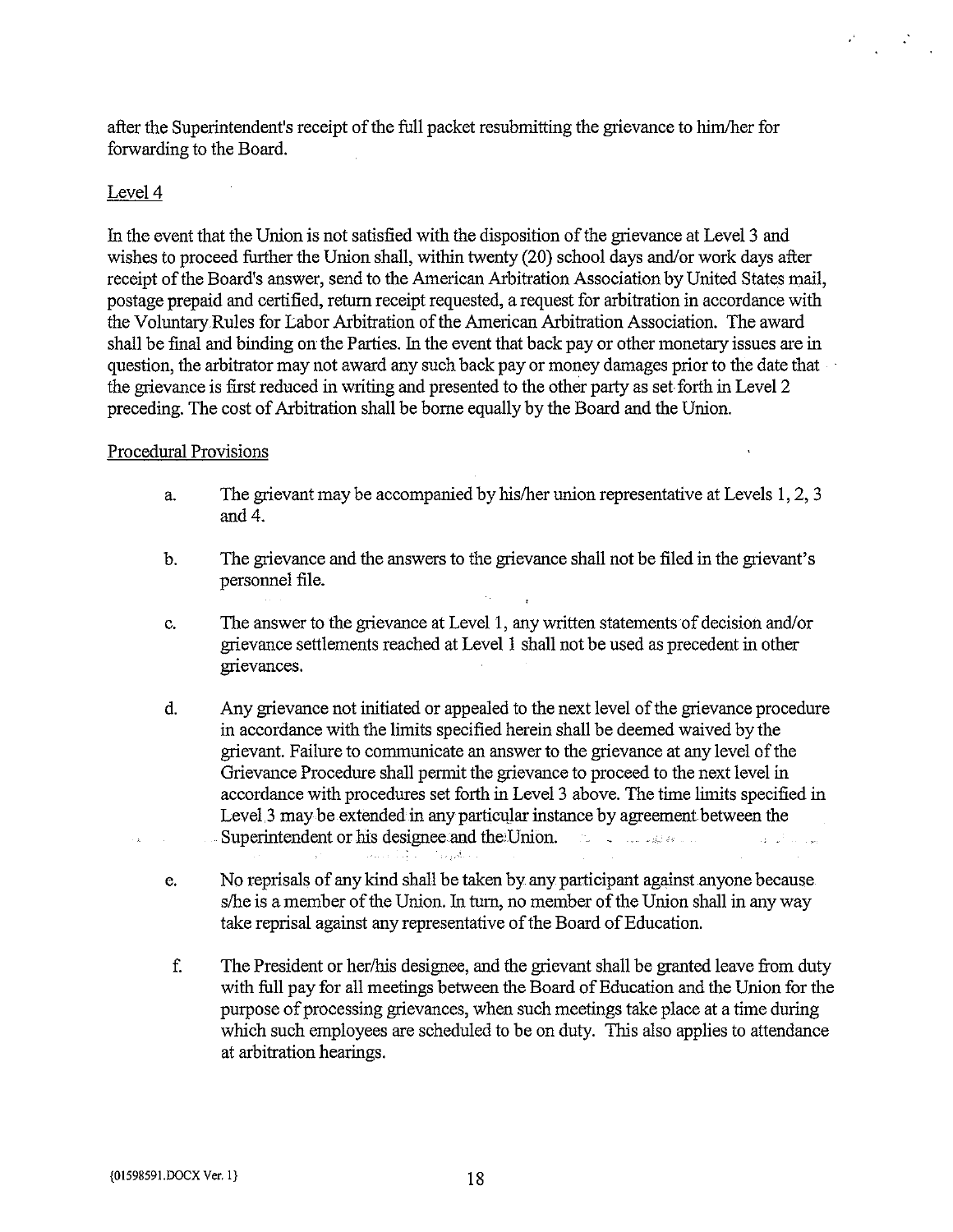after the Superintendents receipt of the full packet resubmitting the grievance to him/her for forwarding to the Board.

#### Level 4

In the event that the Union is not satisfied with the disposition of the grievance at Level <sup>3</sup> and wishes to proceed further the Union shall, within twenty (20) school days and/or work days after receipt of the Board's answer, send to the American Arbitration Association by United States mail, postage prepaid and certified, return receipt requested, a request for arbitration in accordance with the Voluntary Rules for Labor Arbitration of the American Arbitration Association. The award shall be final and binding on the Parties. In the event that back pay or other monetary issues are in question, the arbitrator may not award any such back pay or money damages prior to the date that the grievance is first reduced in writing and presented to the other party as set forth in Level 2 preceding. The cost of Arbitration shall be borne equally by the Board and the Union.

#### Procedural Provisions

- a. The grievant may be accompanied by his/her union representative at Levels 1, 2, <sup>3</sup> and 4.
- b. The grievance and the answers to the grievance shall not be filed in the grievant's personnel file.
- c. The answer to the grievance at Level 1, any written statements of decision and/or grievance settlements reached at Level <sup>1</sup> shall not be used as precedent in other grievances.
- d. Any grievance not initiated or appealed to the next level of the grievance procedure in accordance with the limits specified herein shall be deemed waived by the grievant. Failure to communicate an answer to the grievance at any level of the Grievance Procedure shall permit the grievance to proceed to the next level in accordance with procedures set forth in Level <sup>3</sup> above. The time limits specified in Level, 3 may be extended in any particular instance by agreement between the Superintendent or his designee and the Union.  $\frac{1}{2} \left( \frac{1}{2} \right)^{\frac{1}{2}}$
- e. No reprisals of any kind shall be taken by any participant against anyone because s/he is a member of the Union. In turn, no member of the Union shall in any way take reprisal against any representative of the Board of Education.

and the Capt

f. The President or her/his designee, and the grievant shall be granted leave from duty with full pay for all meetings between the Board of Education and the Union for the purpose of processing grievances, when such meetings take place at <sup>a</sup> time during which such employees are scheduled to be on duty. This also applies to attendance at arbitration hearings.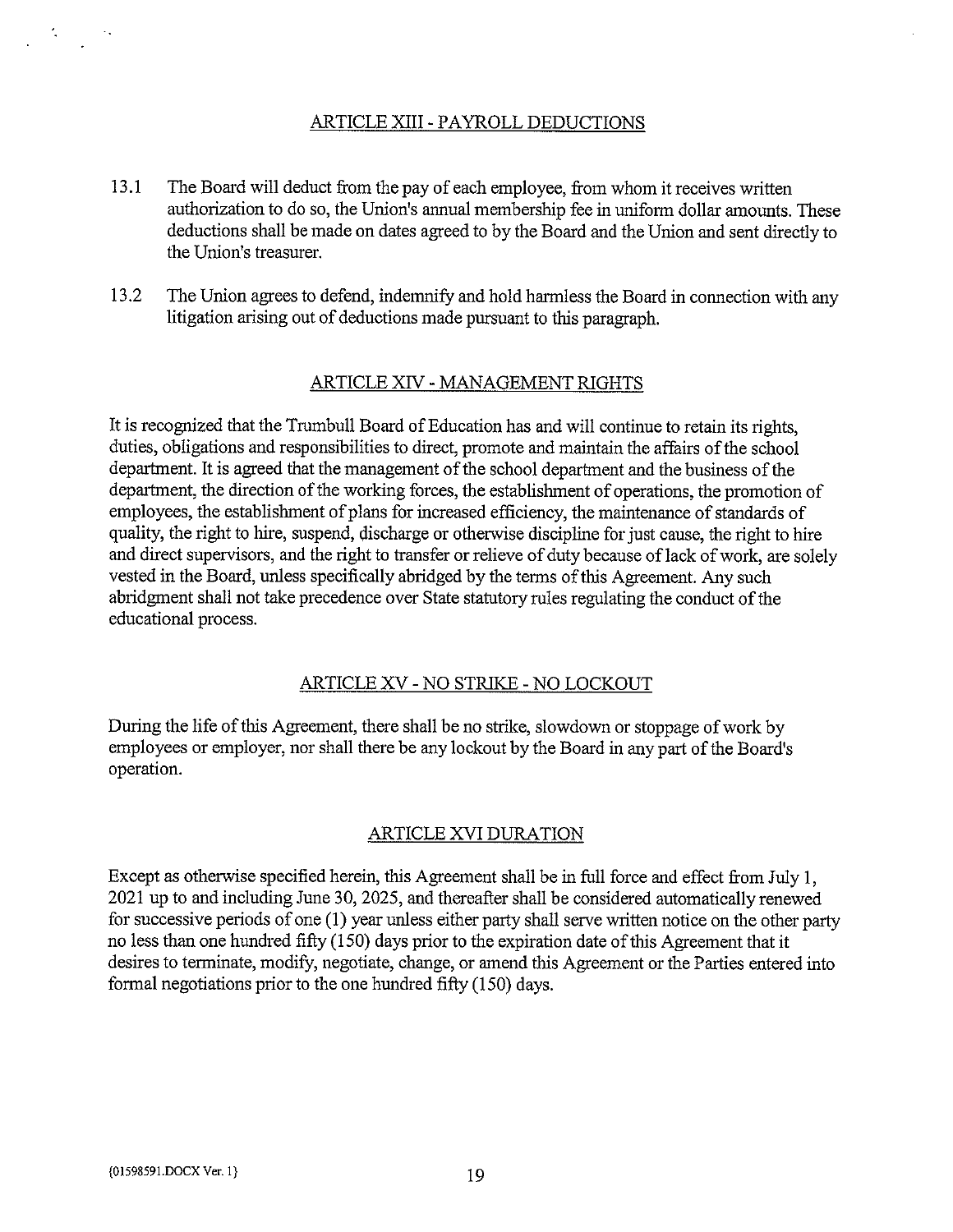# ARTICLE XIII- PAYROLL DEDUCTIONS

- 13.1 The Board will deduct from the pay of each employee, from whom it receives written authorization to do so, the Union's annual membership fee in uniform dollar amounts. These deductions shall be made on dates agreed to by the Board and the Union and sent directly to the Union's treasurer.
- 13.2 The Union agrees to defend, indemnify and hold harmless the Board in connection with any litigation arising out of deductions made pursuant to this paragraph.

#### ARTICLE XIV - MANAGEMENT RIGHTS

It is recognized that the Trumbull Board of Education has and will continue to retain its rights, duties, obligations and responsibilities to direct, promote and maintain the affairs of the school department. It is agreed that the management of the school department and the business of the department, the direction of the working forces, the establishment of operations, the promotion of employees, the establishment of plans for increased efficiency, the maintenance of standards of quality, the right to hire, suspend, discharge or otherwise discipline for just cause, the right to hire and direct supervisors, and the right to transfer or relieve of duty because of lack of work, are solely vested in the Board, unless specifically abridged by the terms of this Agreement. Any such abridgment shall not take precedence over State statutory rules regulating the conduct of the educational process.

#### ARTICLE XV - NO STRIKE - NO LOCKOUT

During the life of this Agreement, there shall be no strike, slowdown or stoppage of work by employees or employer, nor shall there be any lockout by the Board in any part of the Board's operation.

#### ARTICLE XVI DURATION

Except as otherwise specified herein, this Agreement shall be in full force and effect from July 1, 2021 up to and including June 30, 2025, and thereafter shall be considered automatically renewed for successive periods of one (1) year unless either party shall serve written notice on the other party no less than one hundred fifty (150) days prior to the expiration date of this Agreement that it desires to terminate, modify, negotiate, change, or amend this Agreement or the Parties entered into formal negotiations prior to the one hundred fifty (150) days.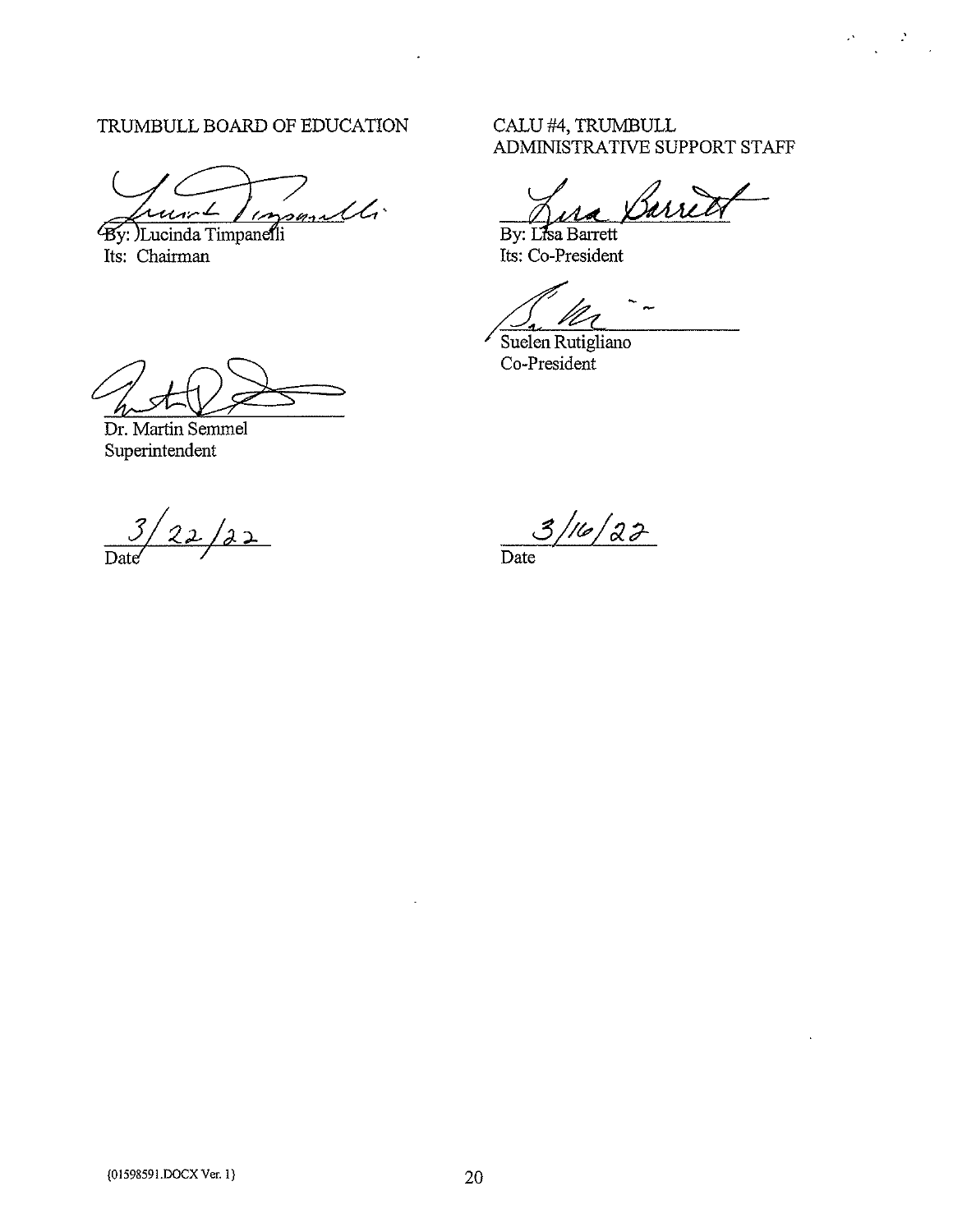# TRUMBULL BOARD OF EDUCATION CALU #4, TRUMBULL

 $\ddot{\phantom{1}}$ 

By: )Lucinda Timpanelli

Its: Chairman Its: Co-President

# ADMINISTRATIVE SUPPORT STAFF

 $\label{eq:2} \frac{2\pi}{\pi} \frac{1}{\sqrt{2}} \frac{2\pi}{\sqrt{2}} \frac{1}{\sqrt{2}} \frac{1}{\sqrt{2}} \frac{1}{\sqrt{2}} \frac{1}{\sqrt{2}} \frac{1}{\sqrt{2}} \frac{1}{\sqrt{2}} \frac{1}{\sqrt{2}} \frac{1}{\sqrt{2}} \frac{1}{\sqrt{2}} \frac{1}{\sqrt{2}} \frac{1}{\sqrt{2}} \frac{1}{\sqrt{2}} \frac{1}{\sqrt{2}} \frac{1}{\sqrt{2}} \frac{1}{\sqrt{2}} \frac{1}{\sqrt{2}} \frac{1}{\sqrt{2}} \frac{1}{\sqrt{2}} \$ 

Barret

By: Lisa Barrett

Suelen Rutigliano Co-President

Dr. Martin Semmel Superintendent

 $3/22/22$ Date' Date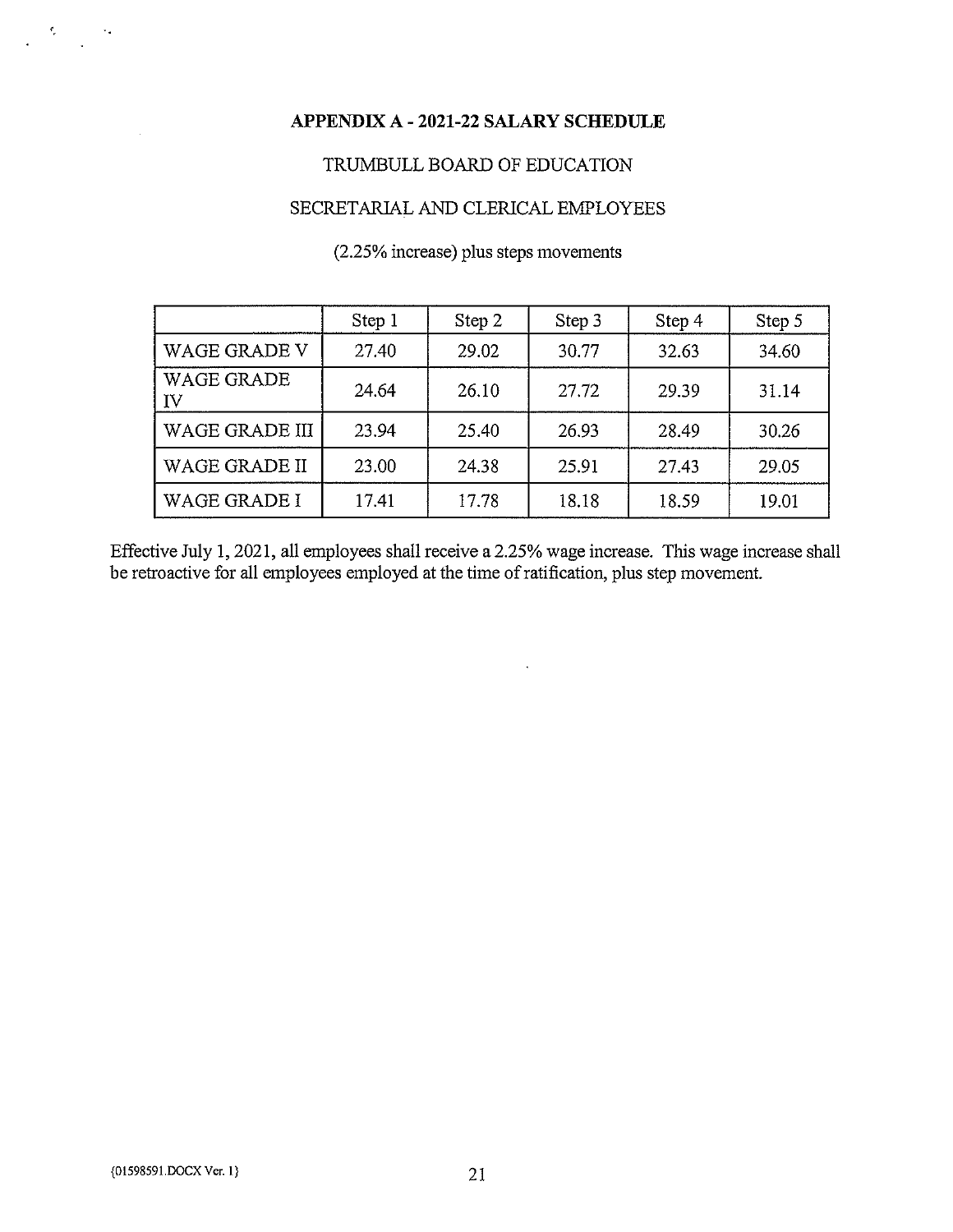### APPENDIX A - 2021-22 SALARY SCHEDULE

# TRUMBULL BOARD OF EDUCATION

#### SECRETARIAL AND CLERICAL EMPLOYEES

# (2.25% increase) plus steps movements

|                         | Step 1 | Step 2 | Step 3 | Step 4 | Step 5 |
|-------------------------|--------|--------|--------|--------|--------|
| <b>WAGE GRADE V</b>     | 27.40  | 29.02  | 30.77  | 32.63  | 34.60  |
| <b>WAGE GRADE</b><br>IV | 24.64  | 26.10  | 27.72  | 29.39  | 31.14  |
| <b>WAGE GRADE III</b>   | 23.94  | 25.40  | 26.93  | 28.49  | 30.26  |
| WAGE GRADE II           | 23.00  | 24.38  | 25.91  | 27.43  | 29.05  |
| WAGE GRADE I            | 17.41  | 17.78  | 18.18  | 18.59  | 19.01  |

Effective July 1, 2021, all employees shall receive a 2.25% wage increase. This wage increase shall be retroactive for all employees employed at the time ofratification, plus step movement.

 $\hat{\mathcal{E}}$ 

 $\mathcal{R}_{\mathcal{A}}$  .

 $\mathbf{A}^{\dagger}$ 

 $\sim 25$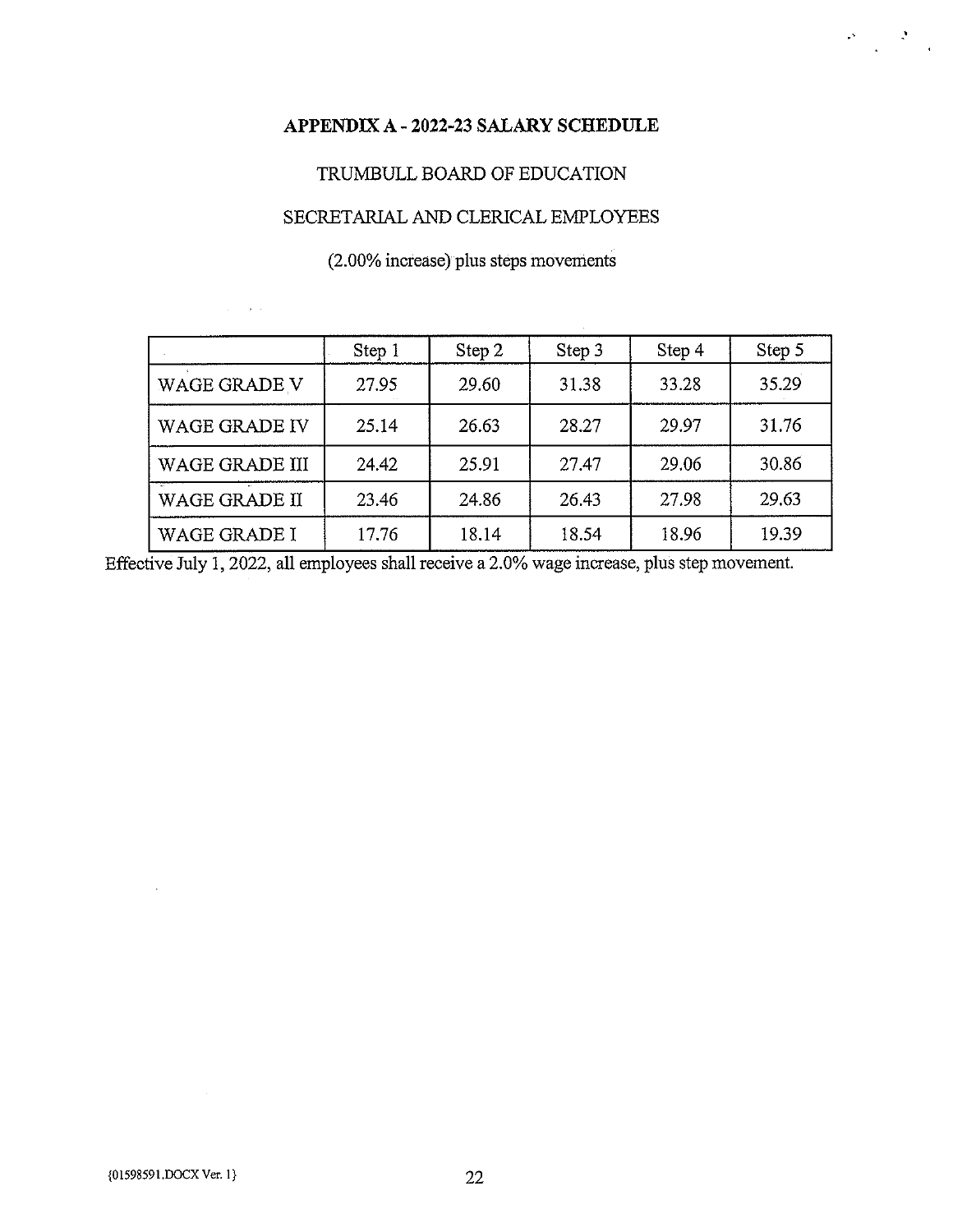## APPENDIX A - 2022-23 SALARY SCHEDULE

 $\label{eq:2} \frac{\partial \mathcal{L}_{\text{max}}}{\partial \mathcal{L}_{\text{max}}}\left( \frac{\partial \mathcal{L}_{\text{max}}}{\partial \mathcal{L}_{\text{max}}}\right)$ 

# TRUMBULL BOARD OF EDUCATION

# SECRETARIAL AND CLERICAL EMPLOYEES

# (2.00% increase) plus steps movements

|                       | Step 1 | Step 2 | Step 3 | Step 4 | Step 5 |
|-----------------------|--------|--------|--------|--------|--------|
| <b>WAGE GRADE V</b>   | 27.95  | 29.60  | 31.38  | 33.28  | 35.29  |
| <b>WAGE GRADE IV</b>  | 25.14  | 26.63  | 28.27  | 29.97  | 31.76  |
| <b>WAGE GRADE III</b> | 24.42  | 25.91  | 27.47  | 29.06  | 30.86  |
| <b>WAGE GRADE II</b>  | 23.46  | 24.86  | 26.43  | 27.98  | 29.63  |
| <b>WAGE GRADE I</b>   | 17.76  | 18.14  | 18.54  | 18.96  | 19.39  |

Effective July 1, 2022, all employees shall receive a 2.0% wage increase, plus step movement.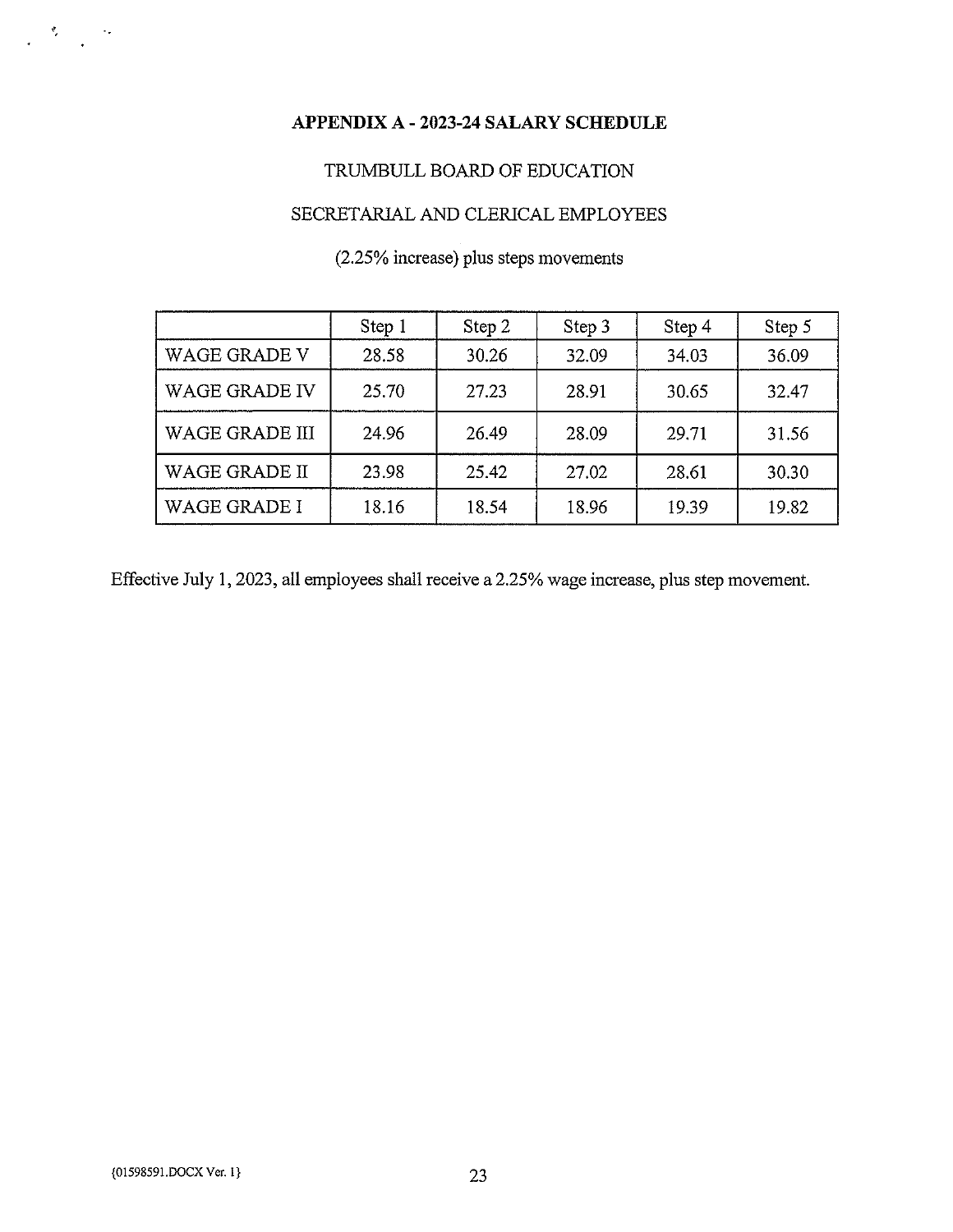# APPENDIX A - 2023-24 SALARY SCHEDULE

## TRUMBULL BOARD OF EDUCATION

# SECRETARIAL AND CLERICAL EMPLOYEES

# (2.25% increase) plus steps movements

|                       | Step 1 | Step 2 | Step 3 | Step 4 | Step 5 |
|-----------------------|--------|--------|--------|--------|--------|
| <b>WAGE GRADE V</b>   | 28.58  | 30.26  | 32.09  | 34.03  | 36.09  |
| <b>WAGE GRADE IV</b>  | 25.70  | 27.23  | 28.91  | 30.65  | 32.47  |
| <b>WAGE GRADE III</b> | 24.96  | 26.49  | 28.09  | 29.71  | 31.56  |
| WAGE GRADE II         | 23.98  | 25.42  | 27.02  | 28.61  | 30.30  |
| WAGE GRADE I          | 18.16  | 18.54  | 18.96  | 19.39  | 19.82  |

Effective July 1, 2023, all employees shall receive a 2.25% wage increase, plus step movement.

 $\label{eq:2.1} \frac{d\mathbf{y}}{d\mathbf{y}} = \frac{d\mathbf{y}}{d\mathbf{y}} \quad \text{and} \quad \mathbf{y} = \frac{d\mathbf{y}}{d\mathbf{y}}$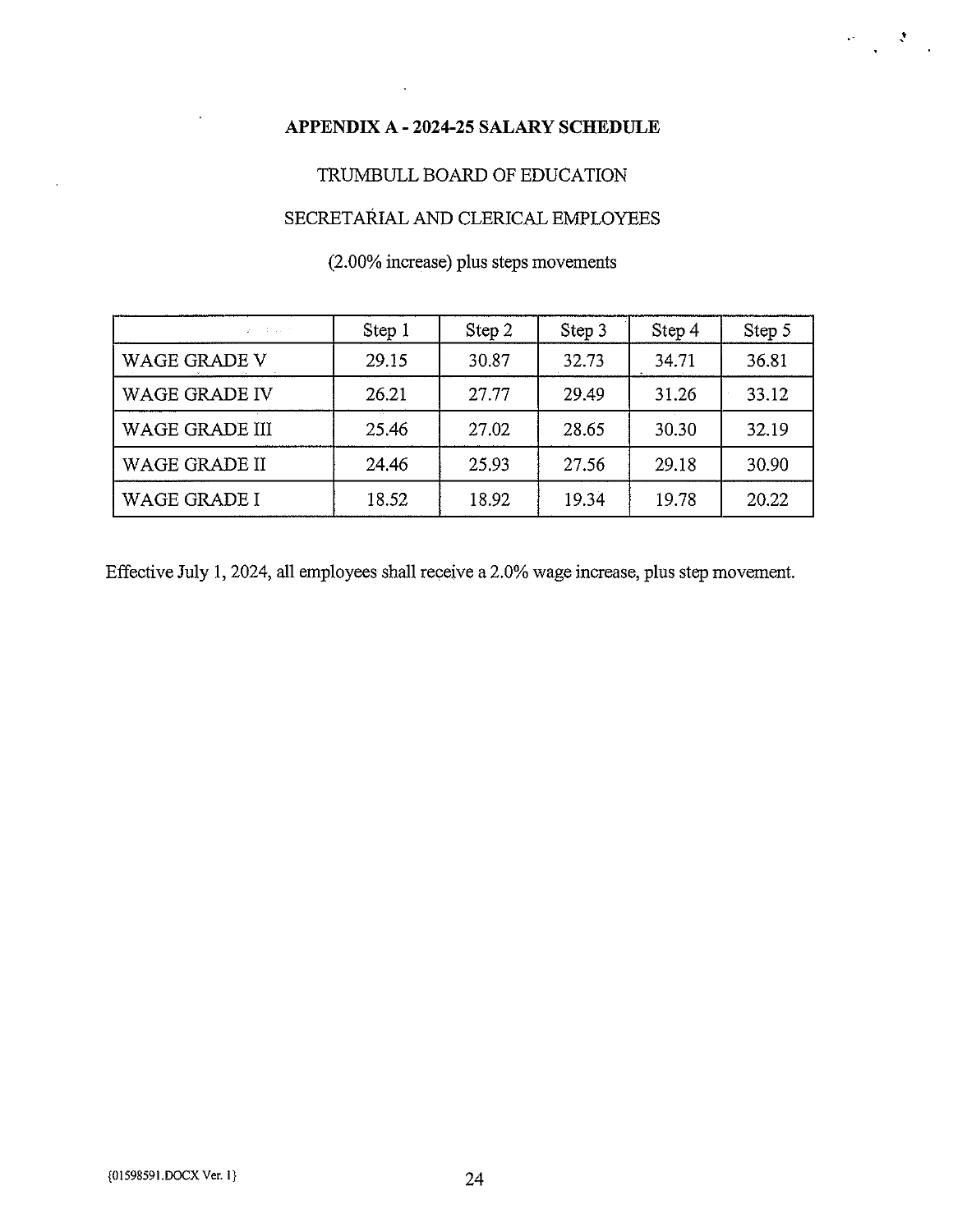# APPENDIX A - 2024-25 SALARY SCHEDULE

'I' I' I' I'

# TRUMBULL BOARD OF EDUCATION

# SECRETAkIAL AND CLERICAL EMPLOYEES

# (2.00% increase) plus steps movements

| $2 - 1 - 1 = 1 - 1$   | Step 1 | Step 2 | Step 3 | Step 4 | Step 5 |
|-----------------------|--------|--------|--------|--------|--------|
| <b>WAGE GRADE V</b>   | 29.15  | 30.87  | 32.73  | 34.71  | 36.81  |
| <b>WAGE GRADE IV</b>  | 26.21  | 27.77  | 29.49  | 31.26  | 33.12  |
| <b>WAGE GRADE III</b> | 25.46  | 27.02  | 28.65  | 30.30  | 32.19  |
| WAGE GRADE II         | 24.46  | 25.93  | 27.56  | 29.18  | 30.90  |
| <b>WAGE GRADE I</b>   | 18.52  | 18.92  | 19.34  | 19.78  | 20.22  |

Effective July 1, 2024, all employees shall receive a 2.0% wage increase, plus step movement.

 $\bar{z}$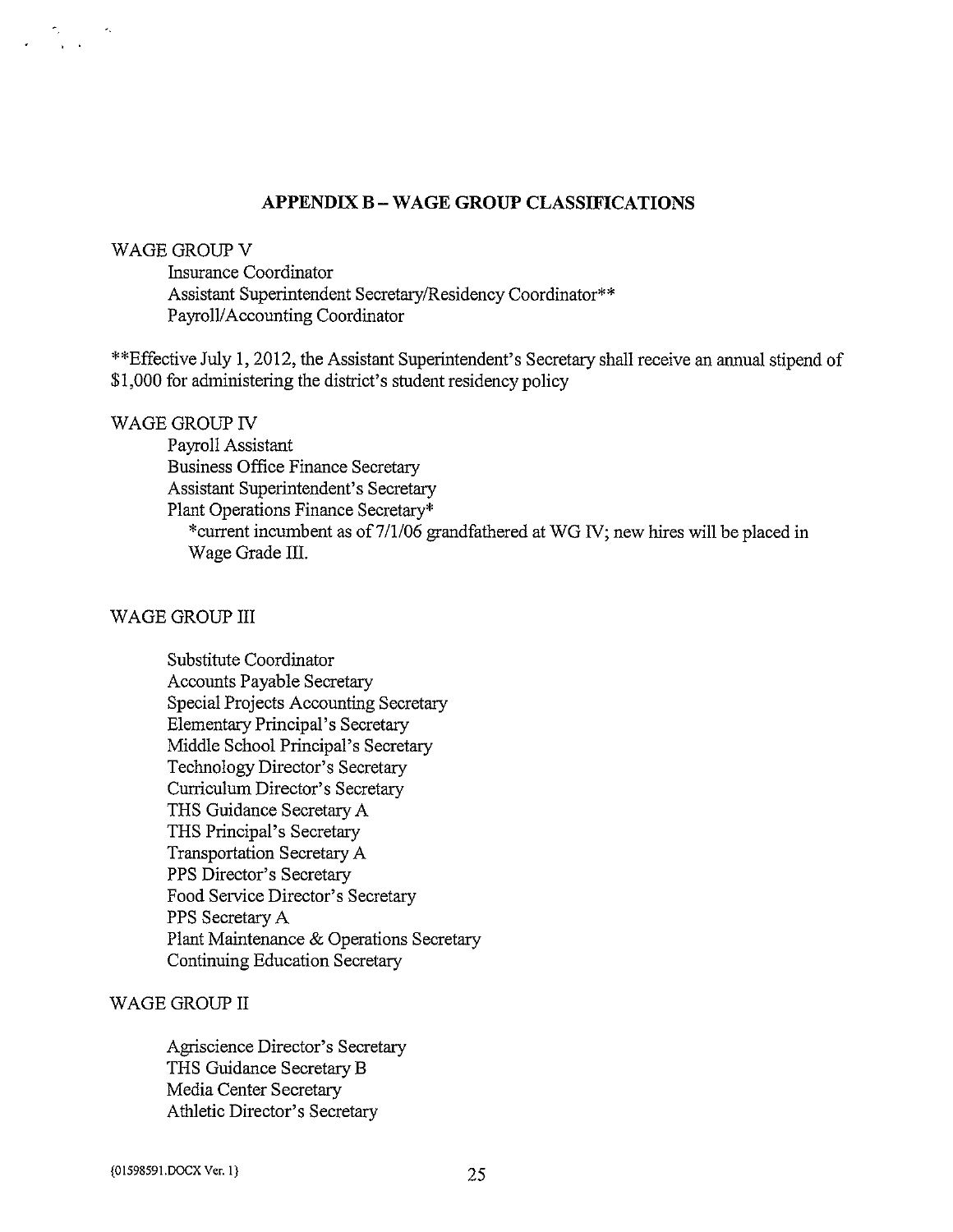#### APPENDIX <sup>B</sup> -WAGE GROUP CLASSIFICATIONS

#### WAGE GROUP V

Insurance Coordinator Assistant Superintendent Secretary/Residency Coordinator\*\* Payroll/Accounting Coordinator

\*\*Effective July 1, 2012, the Assistant Superintendent's Secretary shall receive an annual stipend of \$1,000 for administering the district's student residency policy

#### WAGE GROUP IV

Payroll Assistant Business Office Finance Secretary Assistant Superintendent's Secretary Plant Operations Finance Secretary\* \*current incumbent as of 7/1/06 grandfathered at WG IV; new hires will be placed in Wage Grade III.

#### WAGE GROUP III

Substitute Coordinator Accounts Payable Secretary Special Projects Accounting Secretary Elementary Principal's Secretary Middle School Principal's Secretary Technology Director's Secretary Curriculum Director's Secretary THS Guidance Secretary A THS Principal's Secretary Transportation Secretary A PPS Director's Secretary Food Service Director's Secretary PPS Secretary A Plant Maintenance & Operations Secretary Continuing Education Secretary

## WAGE GROUP II

Agriscience Director's Secretary THS Guidance Secretary B Media Center Secretary Athletic Director's Secretary